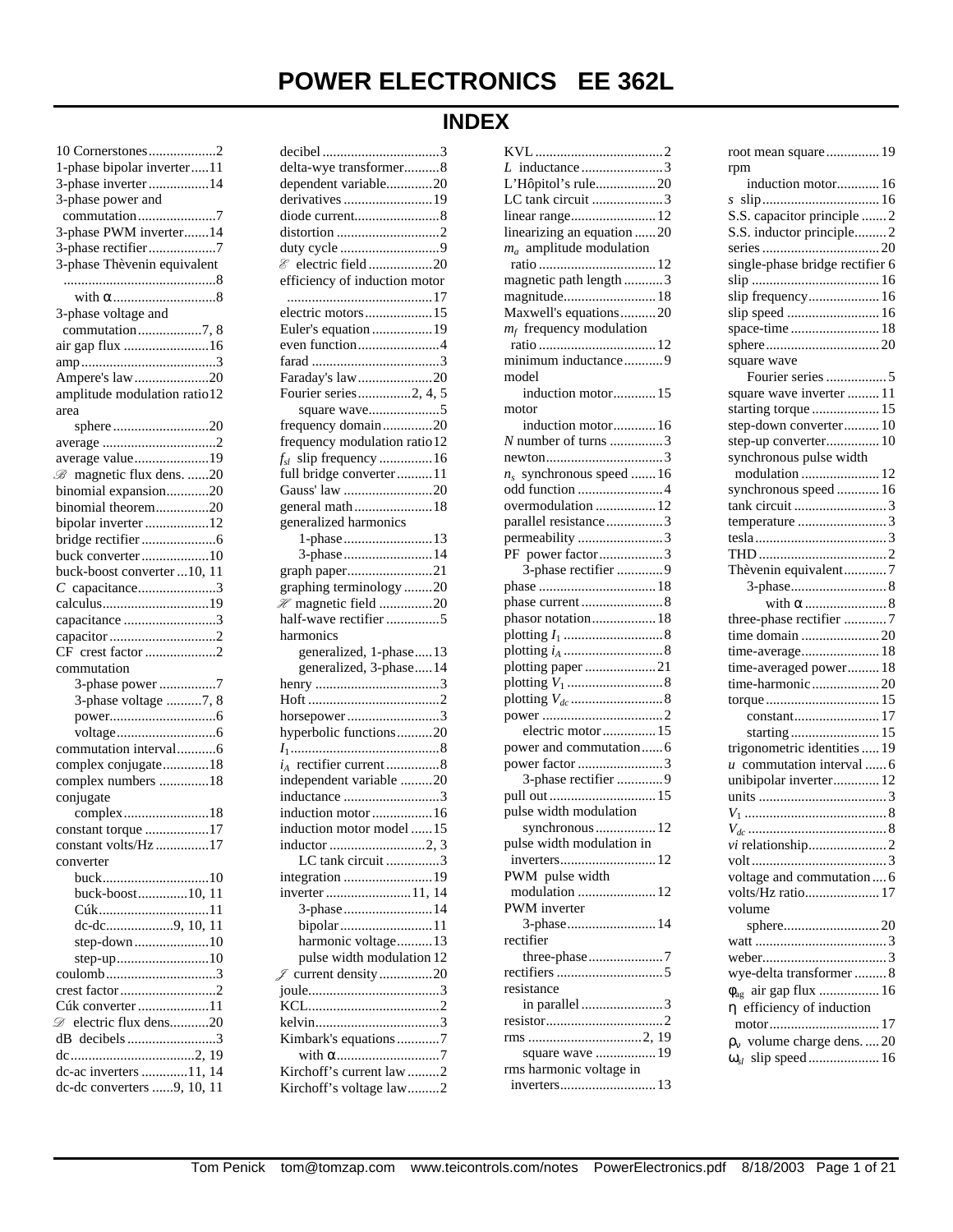# **POWER ELECTRONICS EE 362L**

## **INDEX**

| 10 Cornerstones2                       |  |
|----------------------------------------|--|
| 1-phase bipolar inverter11             |  |
| 3-phase inverter 14                    |  |
| 3-phase power and                      |  |
| commutation7                           |  |
| 3-phase PWM inverter14                 |  |
| 3-phase rectifier7                     |  |
| 3-phase Thèvenin equivalent            |  |
|                                        |  |
|                                        |  |
| 3-phase voltage and                    |  |
| commutation7, 8                        |  |
| air gap flux 16                        |  |
|                                        |  |
| Ampere's law 20                        |  |
| amplitude modulation ratio12           |  |
| area                                   |  |
| sphere20                               |  |
| average 2                              |  |
| average value19                        |  |
| <b>B</b> magnetic flux dens. 20        |  |
|                                        |  |
| binomial expansion20                   |  |
| binomial theorem20                     |  |
| bipolar inverter12                     |  |
|                                        |  |
| buck converter10                       |  |
| buck-boost converter  10, 11           |  |
| $C$ capacitance3                       |  |
| calculus19                             |  |
| capacitance 3                          |  |
| capacitor 2                            |  |
| CF crest factor 2                      |  |
| commutation                            |  |
| 3-phase power7                         |  |
| 3-phase voltage 7, 8                   |  |
|                                        |  |
|                                        |  |
| commutation interval6                  |  |
| complex conjugate18                    |  |
| complex numbers 18                     |  |
| conjugate                              |  |
|                                        |  |
| constant torque 17                     |  |
| constant volts/Hz                      |  |
| converter                              |  |
| buck10                                 |  |
| buck-boost10, 11                       |  |
| Cúk11                                  |  |
| dc-dc9, 10, 11                         |  |
| step-down10                            |  |
|                                        |  |
| coulomb3                               |  |
| crest factor2                          |  |
| Cúk converter 11                       |  |
| <b> </b> <i>i</i> electric flux dens20 |  |
| dB decibels3                           |  |
|                                        |  |
| dc-ac inverters 11, 14                 |  |
| dc-dc converters 9, 10, 11             |  |
|                                        |  |

| delta-wye transformer8                              |  |
|-----------------------------------------------------|--|
| dependent variable20                                |  |
| derivatives 19                                      |  |
| diode current8                                      |  |
| distortion 2                                        |  |
| duty cycle 9                                        |  |
| & electric field20                                  |  |
| efficiency of induction motor                       |  |
|                                                     |  |
| electric motors15                                   |  |
| Euler's equation 19                                 |  |
| even function4                                      |  |
|                                                     |  |
| Faraday's law20                                     |  |
| Fourier series2, 4, 5                               |  |
| square wave5                                        |  |
| frequency domain20                                  |  |
| frequency modulation ratio 12                       |  |
| $f_{sl}$ slip frequency 16                          |  |
| full bridge converter11                             |  |
|                                                     |  |
| Gauss' law 20                                       |  |
|                                                     |  |
| generalized harmonics                               |  |
| 1-phase13                                           |  |
| 3-phase14                                           |  |
| graph paper21                                       |  |
| graphing terminology 20                             |  |
| $\mathcal{H}$ magnetic field 20                     |  |
| half-wave rectifier 5                               |  |
| harmonics                                           |  |
|                                                     |  |
| generalized, 1-phase13<br>generalized, 3-phase14    |  |
|                                                     |  |
|                                                     |  |
|                                                     |  |
| horsepower3                                         |  |
| hyperbolic functions20                              |  |
|                                                     |  |
|                                                     |  |
| $i_A$ rectifier current 8                           |  |
| independent variable 20                             |  |
| inductance 3                                        |  |
| induction motor 16                                  |  |
| induction motor model 15                            |  |
| inductor 2, 3                                       |  |
| LC tank circuit 3                                   |  |
| integration 19                                      |  |
| inverter 11, 14                                     |  |
| 3-phase14                                           |  |
| bipolar11                                           |  |
|                                                     |  |
| harmonic voltage13                                  |  |
| pulse width modulation 12                           |  |
| F current density20                                 |  |
|                                                     |  |
|                                                     |  |
|                                                     |  |
| Kimbark's equations7                                |  |
|                                                     |  |
| Kirchoff's current law 2<br>Kirchoff's voltage law2 |  |

| $L$ inductance 3           |
|----------------------------|
| L'Hôpitol's rule20         |
| LC tank circuit 3          |
| linear range 12            |
| linearizing an equation 20 |
| $m_a$ amplitude modulation |
|                            |
| magnetic path length 3     |
|                            |
| magnitude 18               |
| Maxwell's equations20      |
| $m_f$ frequency modulation |
|                            |
| minimum inductance9        |
| model                      |
| induction motor15          |
| motor                      |
| induction motor16          |
| N number of turns 3        |
|                            |
| $n_s$ synchronous speed 16 |
| odd function 4             |
| overmodulation  12         |
| parallel resistance 3      |
| permeability 3             |
| PF power factor3           |
| 3-phase rectifier 9        |
|                            |
|                            |
|                            |
| phasor notation 18         |
|                            |
|                            |
| plotting paper 21          |
|                            |
|                            |
|                            |
| electric motor 15          |
| power and commutation6     |
| power factor 3             |
| 3-phase rectifier 9        |
| pull out  15               |
| pulse width modulation     |
| synchronous 12             |
| pulse width modulation in  |
| inverters 12               |
| PWM pulse width            |
|                            |
| modulation  12             |
| PWM inverter               |
| 3-phase14                  |
| rectifier                  |
| three-phase7               |
|                            |
| resistance                 |
| in parallel 3              |
|                            |
|                            |
| square wave  19            |
| rms harmonic voltage in    |
| inverters13                |
|                            |

| root mean square 19                                           |  |
|---------------------------------------------------------------|--|
| rpm                                                           |  |
| induction motor 16                                            |  |
| s                                                             |  |
| S.S. capacitor principle  2                                   |  |
| S.S. inductor principle 2                                     |  |
|                                                               |  |
|                                                               |  |
| single-phase bridge rectifier 6                               |  |
|                                                               |  |
| slip frequency 16                                             |  |
| slip speed  16                                                |  |
|                                                               |  |
|                                                               |  |
|                                                               |  |
| square wave                                                   |  |
| Fourier series 5                                              |  |
| square wave inverter  11                                      |  |
| starting torque  15                                           |  |
| step-down converter 10                                        |  |
| step-up converter 10                                          |  |
|                                                               |  |
| synchronous pulse width                                       |  |
| modulation  12                                                |  |
| synchronous speed  16                                         |  |
|                                                               |  |
|                                                               |  |
|                                                               |  |
|                                                               |  |
|                                                               |  |
| Thèvenin equivalent7                                          |  |
|                                                               |  |
|                                                               |  |
|                                                               |  |
|                                                               |  |
| three-phase rectifier 7                                       |  |
| time domain 20                                                |  |
|                                                               |  |
| time-averaged power 18                                        |  |
|                                                               |  |
| time-harmonic  20                                             |  |
|                                                               |  |
|                                                               |  |
|                                                               |  |
| trigonometric identities  19                                  |  |
|                                                               |  |
| $u$ commutation interval  6                                   |  |
| unibipolar inverter 12                                        |  |
|                                                               |  |
|                                                               |  |
|                                                               |  |
|                                                               |  |
|                                                               |  |
|                                                               |  |
| voltage and commutation 6                                     |  |
| volts/Hz ratio 17                                             |  |
| volume                                                        |  |
|                                                               |  |
|                                                               |  |
|                                                               |  |
|                                                               |  |
| wye-delta transformer  8                                      |  |
| air gap flux  16<br>$\phi_{ag}$                               |  |
| $\eta$ efficiency of induction                                |  |
|                                                               |  |
|                                                               |  |
| $\rho_v$ volume charge dens20<br>$\omega_{sl}$ slip speed  16 |  |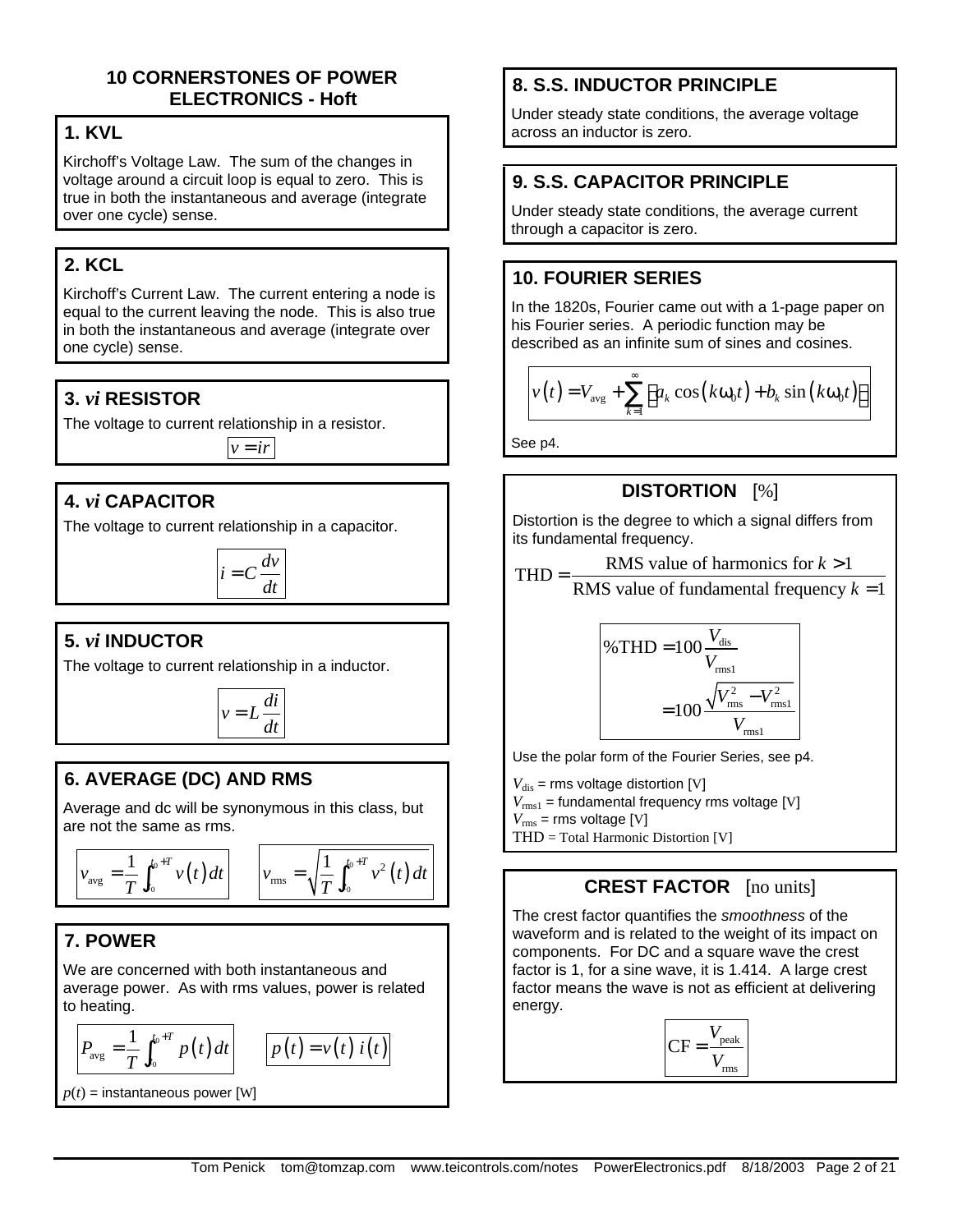### **10 CORNERSTONES OF POWER ELECTRONICS - Hoft**

## **1. KVL**

Kirchoff's Voltage Law. The sum of the changes in voltage around a circuit loop is equal to zero. This is true in both the instantaneous and average (integrate over one cycle) sense.

## **2. KCL**

Kirchoff's Current Law. The current entering a node is equal to the current leaving the node. This is also true in both the instantaneous and average (integrate over one cycle) sense.

## **3.** *vi* **RESISTOR**

The voltage to current relationship in a resistor.

 $v = ir$ 

## **4.** *vi* **CAPACITOR**

The voltage to current relationship in a capacitor.

 $i = C \frac{dv}{dt}$ *dt*

## **5.** *vi* **INDUCTOR**

The voltage to current relationship in a inductor.



## **6. AVERAGE (DC) AND RMS**

Average and dc will be synonymous in this class, but are not the same as rms.

$$
v_{\text{avg}} = \frac{1}{T} \int_{t_0}^{t_0+T} v(t) dt \qquad v_{\text{rms}} = \sqrt{\frac{1}{T} \int_{t_0}^{t_0+T} v^2(t) dt}
$$

## **7. POWER**

We are concerned with both instantaneous and average power. As with rms values, power is related to heating.

$$
\left| P_{\text{avg}} = \frac{1}{T} \int_{t_0}^{t_0+T} p(t) dt \right| \qquad \boxed{1}
$$

$$
p(t) = v(t) i(t)
$$

 $p(t)$  = instantaneous power [W]

## **8. S.S. INDUCTOR PRINCIPLE**

Under steady state conditions, the average voltage across an inductor is zero.

## **9. S.S. CAPACITOR PRINCIPLE**

Under steady state conditions, the average current through a capacitor is zero.

## **10. FOURIER SERIES**

In the 1820s, Fourier came out with a 1-page paper on his Fourier series. A periodic function may be described as an infinite sum of sines and cosines.

$$
v(t) = V_{avg} + \sum_{k=1}^{\infty} \left[ a_k \cos(k\omega_0 t) + b_k \sin(k\omega_0 t) \right]
$$

See p4.

## **DISTORTION** [%]

Distortion is the degree to which a signal differs from its fundamental frequency.

$$
THD = \frac{RMS \text{ value of harmonics for } k > 1}{RMS \text{ value of fundamental frequency } k = 1}
$$

% THD = 
$$
100 \frac{V_{\text{dis}}}{V_{\text{rms1}}}
$$
  
=  $100 \frac{\sqrt{V_{\text{rms}}^2 - V_{\text{rms1}}^2}}{V_{\text{rms1}}}$ 

Use the polar form of the Fourier Series, see p4.

 $V_{\text{dis}}$  = rms voltage distortion [V]  $V_{\text{rms1}}$  = fundamental frequency rms voltage [V]  $V_{\text{rms}}$  = rms voltage [V] THD = Total Harmonic Distortion [V]

### **CREST FACTOR** [no units]

The crest factor quantifies the *smoothness* of the waveform and is related to the weight of its impact on components. For DC and a square wave the crest factor is 1, for a sine wave, it is 1.414. A large crest factor means the wave is not as efficient at delivering energy.

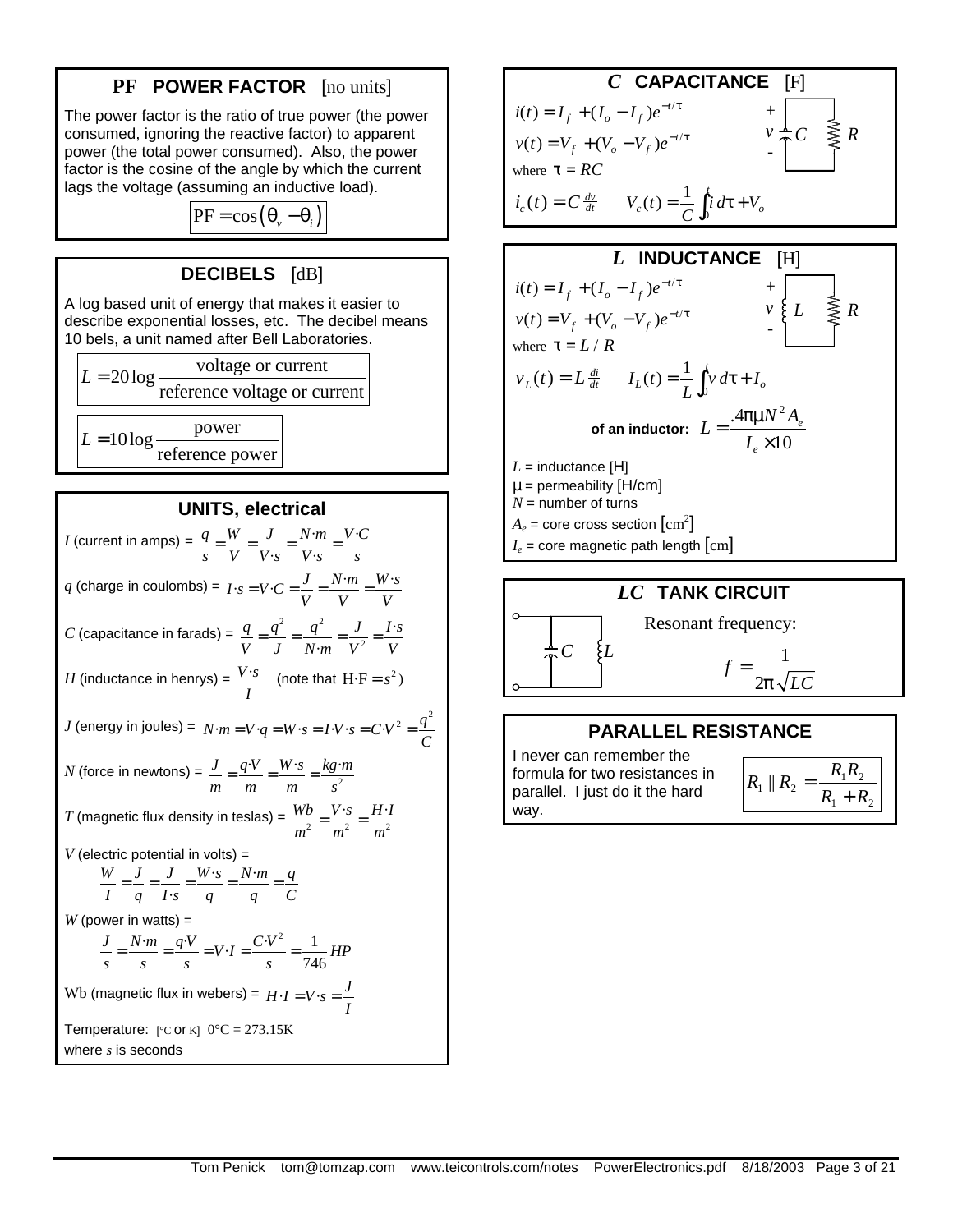### **PF POWER FACTOR** [no units]

The power factor is the ratio of true power (the power consumed, ignoring the reactive factor) to apparent power (the total power consumed). Also, the power factor is the cosine of the angle by which the current lags the voltage (assuming an inductive load).

$$
PF = \cos(\theta_v - \theta_i)
$$

### **DECIBELS** [dB]

A log based unit of energy that makes it easier to describe exponential losses, etc. The decibel means 10 bels, a unit named after Bell Laboratories.



**UNITS, electrical**

*I* (current in amps) =  $\frac{q}{q} = \frac{W}{q} = \frac{J}{q} = \frac{N \cdot m}{q} = \frac{V \cdot m}{r}$  $\cdot s$   $V \cdot$ *q W J N m V C s V V s V s s*  $=\frac{U}{\sqrt{2}}=\frac{J}{\sqrt{2}}=\frac{IV}{\sqrt{2}}=\frac{IV}{\sqrt{2}}$  $q$  (charge in coulombs) =  $I \cdot s = V \cdot C = \frac{J}{V} = \frac{N \cdot m}{V} = \frac{W \cdot s}{V}$  $= V \cdot C = \frac{V}{V} = \frac{1 V}{V} =$ *C* (capacitance in farads) =  $\frac{q}{\tau} = \frac{q^2}{\tau^2} = \frac{q^2}{\tau^2}$ 2 · · *q*  $q^2$   $q^2$  *J I*·s *V J N* $\cdot$ *m V*<sup>2</sup> *V*  $=\frac{q}{q}=\frac{q}{q}=\frac{q}{q+q}=$  $H$  (inductance in henrys) =  $\frac{V\cdot S}{A}$ *I* (note that  $H \cdot F = s^2$ ) *J* (energy in joules) =  $N \cdot m = V \cdot q = W \cdot s = I \cdot V \cdot s = C \cdot V^2 = \frac{q^2}{C}$  $= V \cdot q = W \cdot s = I \cdot V \cdot s = C \cdot V^2 =$ *N* (force in newtons) =  $\frac{J}{m} = \frac{q \cdot v}{m} = \frac{W \cdot s}{m} = \frac{kg \cdot s}{s^2}$ *J q*·*V W*· · *s kg m m m m s*  $=\frac{q_{1}^{2}}{q_{1}}=\frac{W_{1,3}}{q_{1}}=$ *T* (magnetic flux density in teslas) =  $\frac{WD}{m^2} = \frac{V \cdot S}{m^2} = \frac{H \cdot B}{m^2}$  $Wb$   $V \cdot s$  *H* $\cdot$ *I*  $m^2$   $m^2$   $m$  $=\frac{v}{2}$  = *V* (electric potential in volts) =  $\cdot s$  N $\cdot$ · *W J J W s N m q I q I s q q C*  $=$   $\frac{9}{2}$   $=$   $\frac{1000}{2}$   $=$   $\frac{1000}{2}$   $=$  $W$  (power in watts)  $=$  $\frac{J}{s} = \frac{N \cdot m}{s} = \frac{q \cdot V}{s} = V \cdot I = \frac{C \cdot V^2}{s} = \frac{1}{746} H P$  $=\frac{N}{N}=\frac{q^{2}V}{V}=V-I=\frac{Q^{2}V}{V}=$ Wb (magnetic flux in webers) =  $H \cdot I = V \cdot s = \frac{J}{I}$  $= V \cdot s =$ Temperature:  $[°C \text{ or } K]$   $0°C = 273.15K$ where *s* is seconds



#### **PARALLEL RESISTANCE** I never can remember the formula for two resistances in parallel. I just do it the hard  $R_1 \parallel R_2 = \frac{R_1 R_2}{R_1 + R_2}$  $R_1 + R$  $R_1 \parallel R_2 = \frac{R_1 R_2}{R_1}$ + =

way.  $\overline{N_1 + N_2}$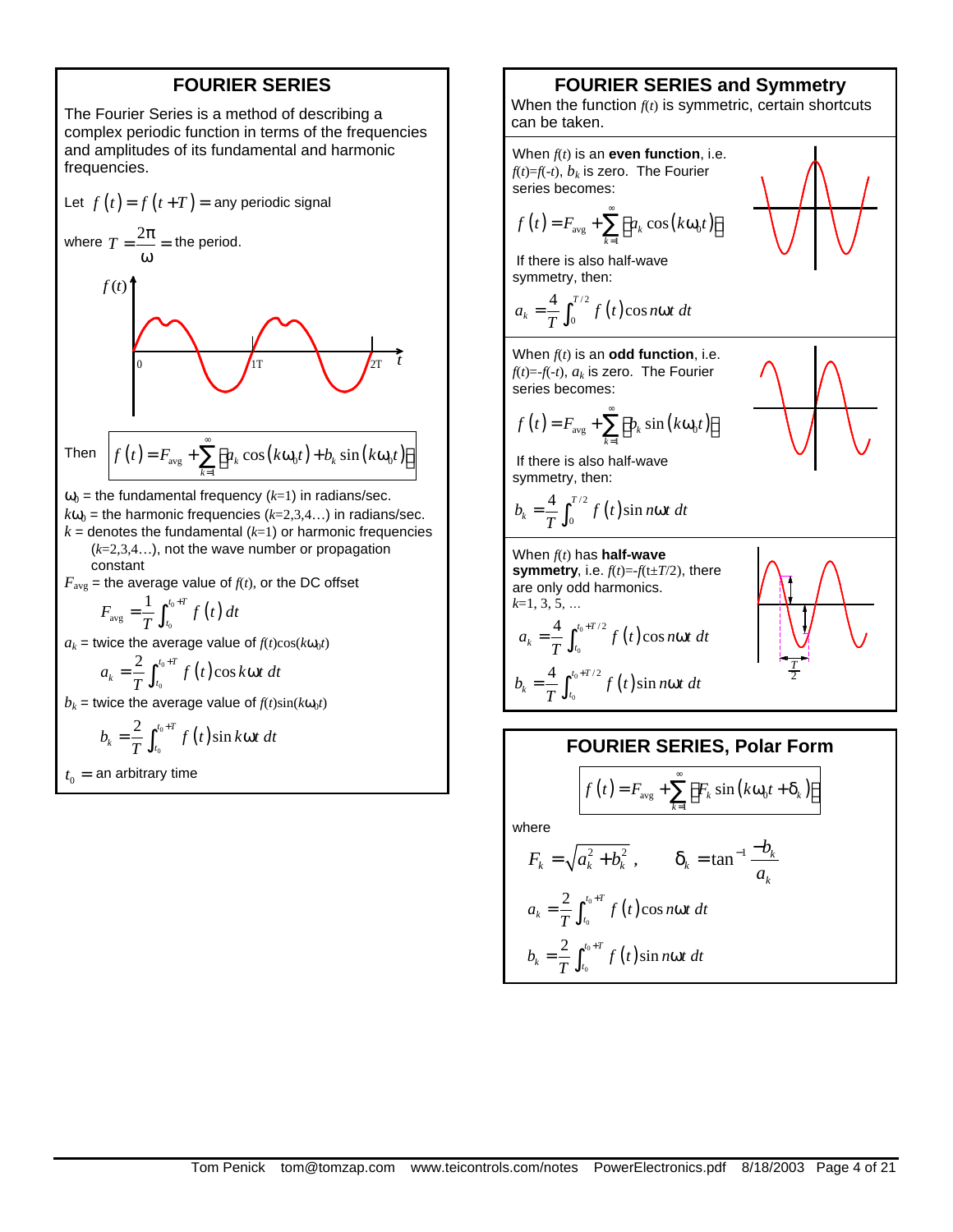#### **FOURIER SERIES**

The Fourier Series is a method of describing a complex periodic function in terms of the frequencies and amplitudes of its fundamental and harmonic frequencies.

Let 
$$
f(t) = f(t+T) =
$$
 any periodic signal  
\nwhere  $T = \frac{2\pi}{\omega} =$  the period.  
\n $f(t)$   
\n  
\nThen  $f(t) = F_{avg} + \sum_{k=1}^{\infty} [a_k \cos(k\omega_0 t) + b_k \sin(k\omega_0 t)]$   
\n $\omega_0$  = the fundamental frequency  $(k=1)$  in radians/sec.  
\n $k\omega_0$  = the harmonic frequencies  $(k=2,3,4...)$  in radians/sec.

 $k =$  denotes the fundamental  $(k=1)$  or harmonic frequencies (*k*=2,3,4…), not the wave number or propagation constant

 $F_{\text{avg}}$  = the average value of  $f(t)$ , or the DC offset

$$
F_{\text{avg}} = \frac{1}{T} \int_{t_0}^{t_0+T} f\left(t\right) dt
$$

 $a_k$  = twice the average value of  $f(t)\cos(k\omega_0 t)$ 

$$
a_k = \frac{2}{T} \int_{t_0}^{t_0+T} f(t) \cos k \omega t \ dt
$$

 $b_k$  = twice the average value of  $f(t)$ sin( $k\omega_0 t$ )

$$
b_k = \frac{2}{T} \int_{t_0}^{t_0+T} f(t) \sin k\omega t \ dt
$$

 $t_0$  = an arbitrary time

#### **FOURIER SERIES and Symmetry**

When the function *f*(*t*) is symmetric, certain shortcuts can be taken.



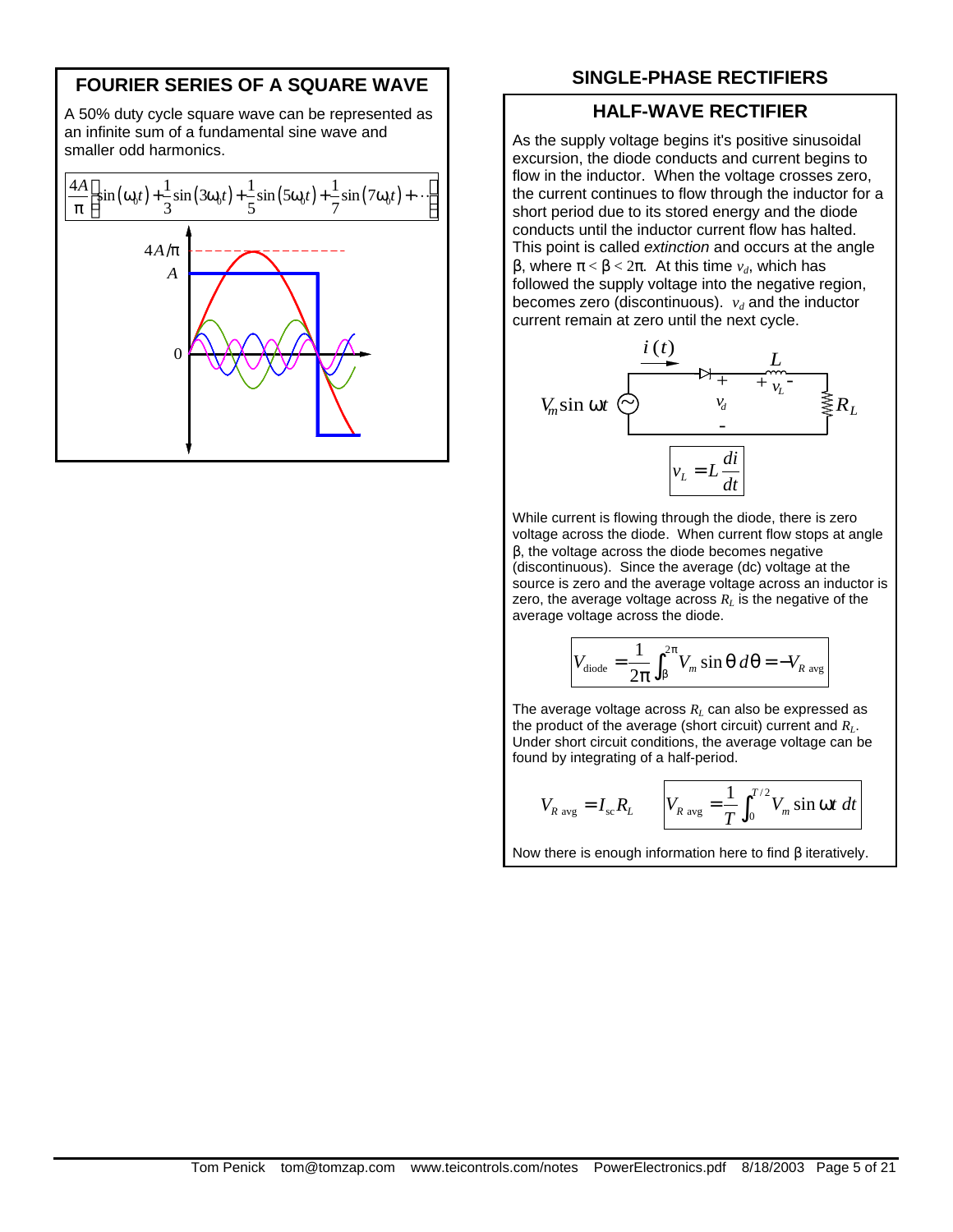### **FOURIER SERIES OF A SQUARE WAVE**

A 50% duty cycle square wave can be represented as an infinite sum of a fundamental sine wave and smaller odd harmonics.



### **SINGLE-PHASE RECTIFIERS**

#### **HALF-WAVE RECTIFIER**

As the supply voltage begins it's positive sinusoidal excursion, the diode conducts and current begins to flow in the inductor. When the voltage crosses zero, the current continues to flow through the inductor for a short period due to its stored energy and the diode conducts until the inductor current flow has halted. This point is called *extinction* and occurs at the angle β, where π < β < 2π. At this time *vd*, which has followed the supply voltage into the negative region, becomes zero (discontinuous).  $v_d$  and the inductor current remain at zero until the next cycle.



While current is flowing through the diode, there is zero voltage across the diode. When current flow stops at angle β, the voltage across the diode becomes negative (discontinuous). Since the average (dc) voltage at the source is zero and the average voltage across an inductor is zero, the average voltage across  $R_L$  is the negative of the average voltage across the diode.

$$
V_{\text{dode}} = \frac{1}{2\pi} \int_{\beta}^{2\pi} V_m \sin \theta \, d\theta = -V_{R \text{ avg}}
$$

The average voltage across *RL* can also be expressed as the product of the average (short circuit) current and *RL*. Under short circuit conditions, the average voltage can be found by integrating of a half-period.

$$
V_{R\text{ avg}} = I_{\text{sc}} R_L \qquad V_{R\text{ avg}} = \frac{1}{T} \int_0^{T/2} V_m \sin \omega t \ dt
$$

Now there is enough information here to find β iteratively.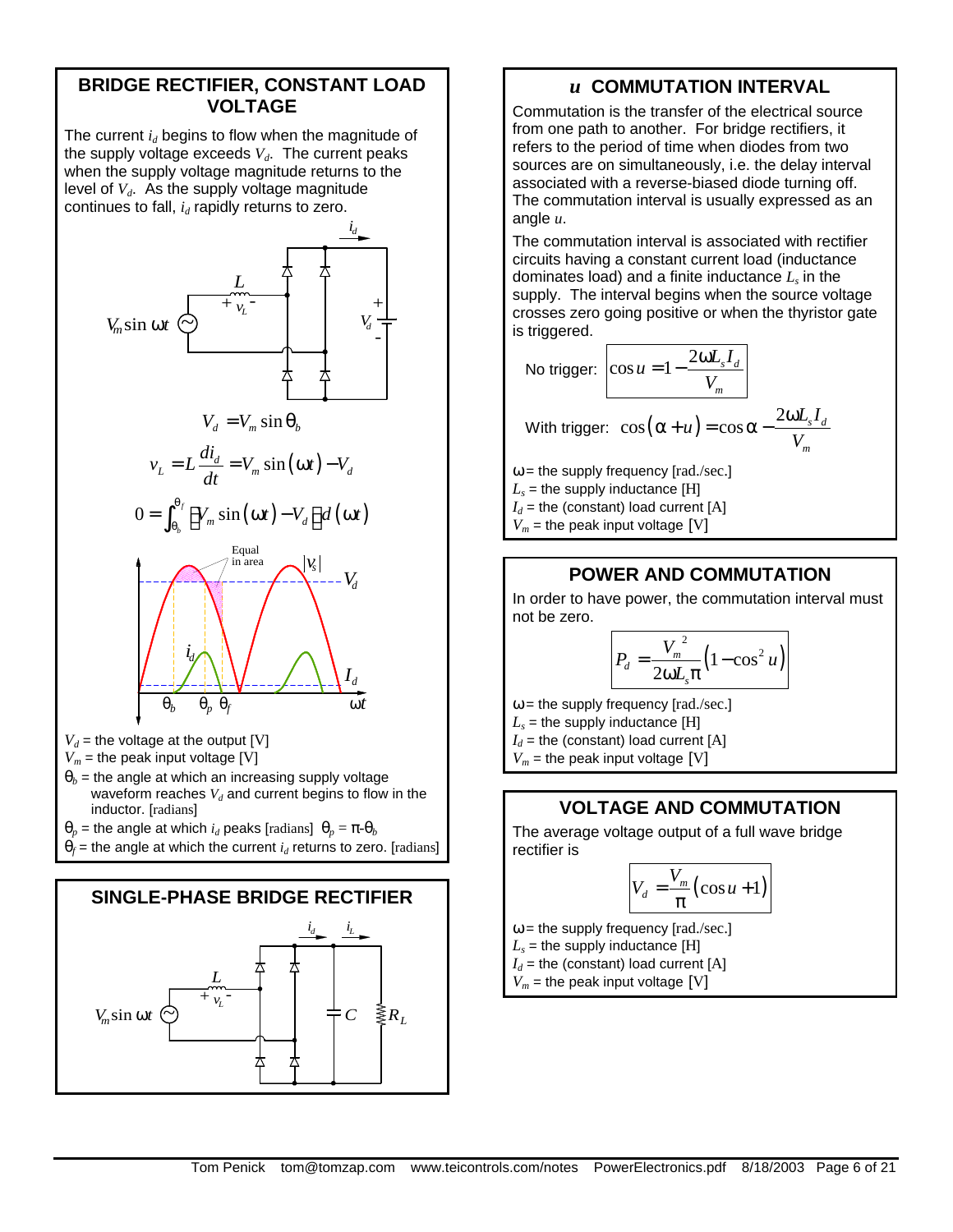### **BRIDGE RECTIFIER, CONSTANT LOAD VOLTAGE**

The current *id* begins to flow when the magnitude of the supply voltage exceeds  $V_d$ . The current peaks when the supply voltage magnitude returns to the level of  $V_d$ . As the supply voltage magnitude continues to fall,  $i_d$  rapidly returns to zero.





### *u* **COMMUTATION INTERVAL**

Commutation is the transfer of the electrical source from one path to another. For bridge rectifiers, it refers to the period of time when diodes from two sources are on simultaneously, i.e. the delay interval associated with a reverse-biased diode turning off. The commutation interval is usually expressed as an angle *u*.

The commutation interval is associated with rectifier circuits having a constant current load (inductance dominates load) and a finite inductance *L<sup>s</sup>* in the supply. The interval begins when the source voltage crosses zero going positive or when the thyristor gate is triggered.

No trigger: 
$$
\cos u = 1 - \frac{2\omega L_s I_d}{V_m}
$$
  
With trigger: 
$$
\cos(\alpha + u) = \cos \alpha - \frac{2\omega L_s I_d}{V_m}
$$

 $\omega$  = the supply frequency [rad./sec.]

 $L<sub>s</sub>$  = the supply inductance [H]

 $I_d$  = the (constant) load current [A]

 $V_m$  = the peak input voltage [V]

### **POWER AND COMMUTATION**

In order to have power, the commutation interval must not be zero.

$$
P_d = \frac{V_m^2}{2\omega L_s \pi} \left(1 - \cos^2 u\right)
$$

 $\omega$  = the supply frequency [rad./sec.]  $L<sub>s</sub>$  = the supply inductance [H]

 $I_d$  = the (constant) load current [A]

 $V_m$  = the peak input voltage [V]

### **VOLTAGE AND COMMUTATION**

The average voltage output of a full wave bridge rectifier is

$$
V_d = \frac{V_m}{\pi} \left( \cos u + 1 \right)
$$

 $\omega$  = the supply frequency [rad./sec.]

 $L_{\mathrm{s}}$  = the supply inductance [H]

 $I_d$  = the (constant) load current [A]

 $V_m$  = the peak input voltage [V]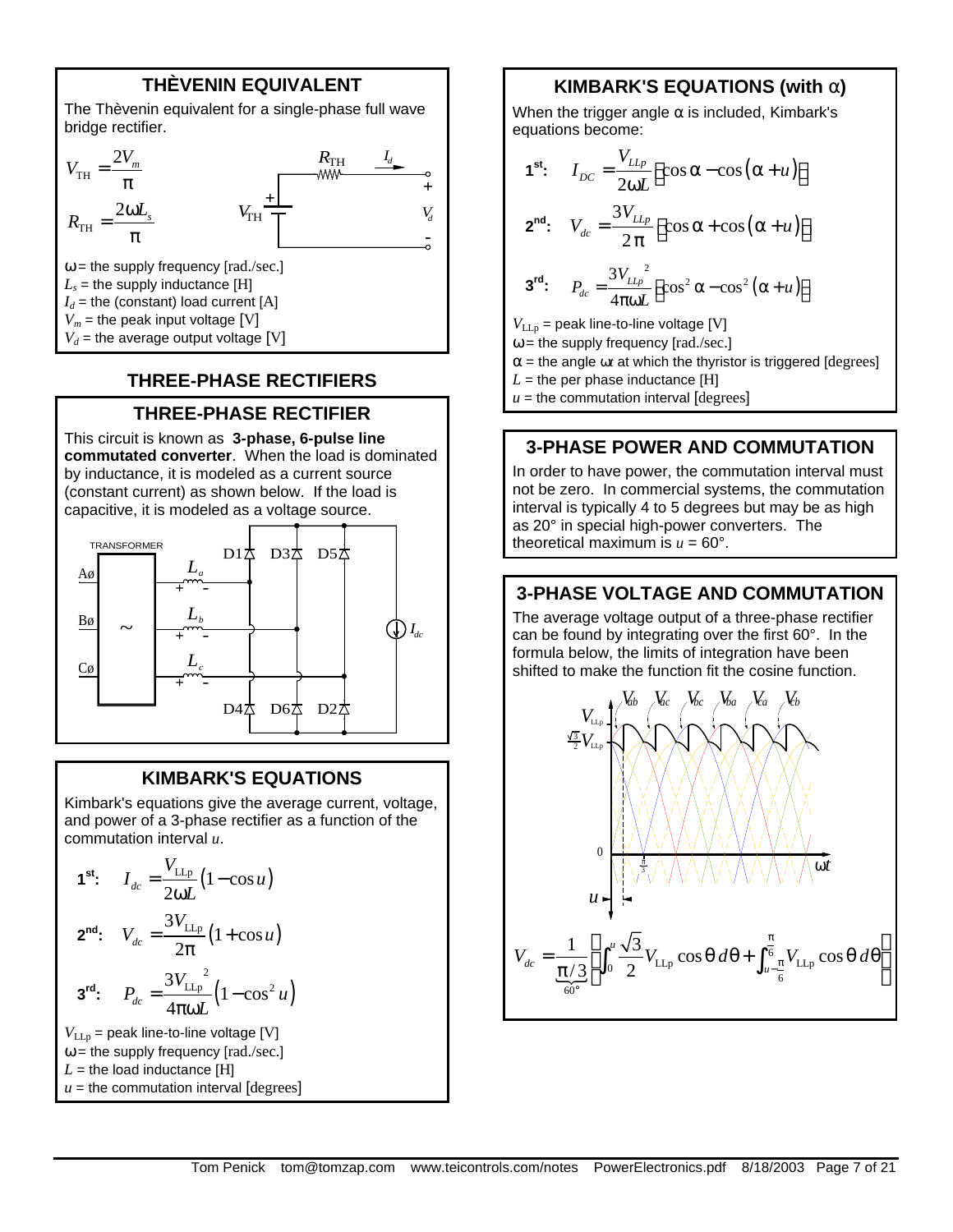### **THÈVENIN EQUIVALENT**

The Thèvenin equivalent for a single-phase full wave bridge rectifier.



### **THREE-PHASE RECTIFIERS**

### **THREE-PHASE RECTIFIER**

This circuit is known as **3-phase, 6-pulse line commutated converter**. When the load is dominated by inductance, it is modeled as a current source (constant current) as shown below. If the load is capacitive, it is modeled as a voltage source.



#### **KIMBARK'S EQUATIONS**

Kimbark's equations give the average current, voltage, and power of a 3-phase rectifier as a function of the commutation interval *u*.

$$
\mathbf{1^{st}}: \quad I_{dc} = \frac{V_{LLp}}{2\omega L} (1 - \cos u)
$$
\n
$$
\mathbf{2^{nd}}: \quad V_{dc} = \frac{3V_{LLp}}{2\pi} (1 + \cos u)
$$
\n
$$
\mathbf{3^{rd}}: \quad P_{dc} = \frac{3V_{LLp}}{4\pi\omega L} (1 - \cos^2 u)
$$
\n
$$
V_{LLp} = \text{peak line-to-line voltage [V]}
$$

 $\omega$  = the supply frequency [rad./sec.]  $L =$  the load inductance [H]  $u =$  the commutation interval  $[degrees]$ 

#### **KIMBARK'S EQUATIONS (with a)**

When the trigger angle  $\alpha$  is included, Kimbark's equations become:

$$
1^{st}: I_{DC} = \frac{V_{LLp}}{2\omega L} \left[\cos\alpha - \cos(\alpha + u)\right]
$$
  

$$
2^{nd}: V_{dc} = \frac{3V_{LLp}}{2\pi} \left[\cos\alpha + \cos(\alpha + u)\right]
$$
  

$$
3^{rd}: P_{dc} = \frac{3V_{LLp}}{4\pi\omega L} \left[\cos^2\alpha - \cos^2(\alpha + u)\right]
$$

 $V_{\text{LLp}}$  = peak line-to-line voltage [V]

 $\omega$  = the supply frequency [rad./sec.]

 $\alpha$  = the angle  $\omega t$  at which the thyristor is triggered [degrees]

 $L =$  the per phase inductance [H]

 $u =$  the commutation interval  $[degrees]$ 

#### **3-PHASE POWER AND COMMUTATION**

In order to have power, the commutation interval must not be zero. In commercial systems, the commutation interval is typically 4 to 5 degrees but may be as high as 20° in special high-power converters. The theoretical maximum is  $u = 60^\circ$ .

#### **3-PHASE VOLTAGE AND COMMUTATION**

The average voltage output of a three-phase rectifier can be found by integrating over the first 60°. In the formula below, the limits of integration have been shifted to make the function fit the cosine function.

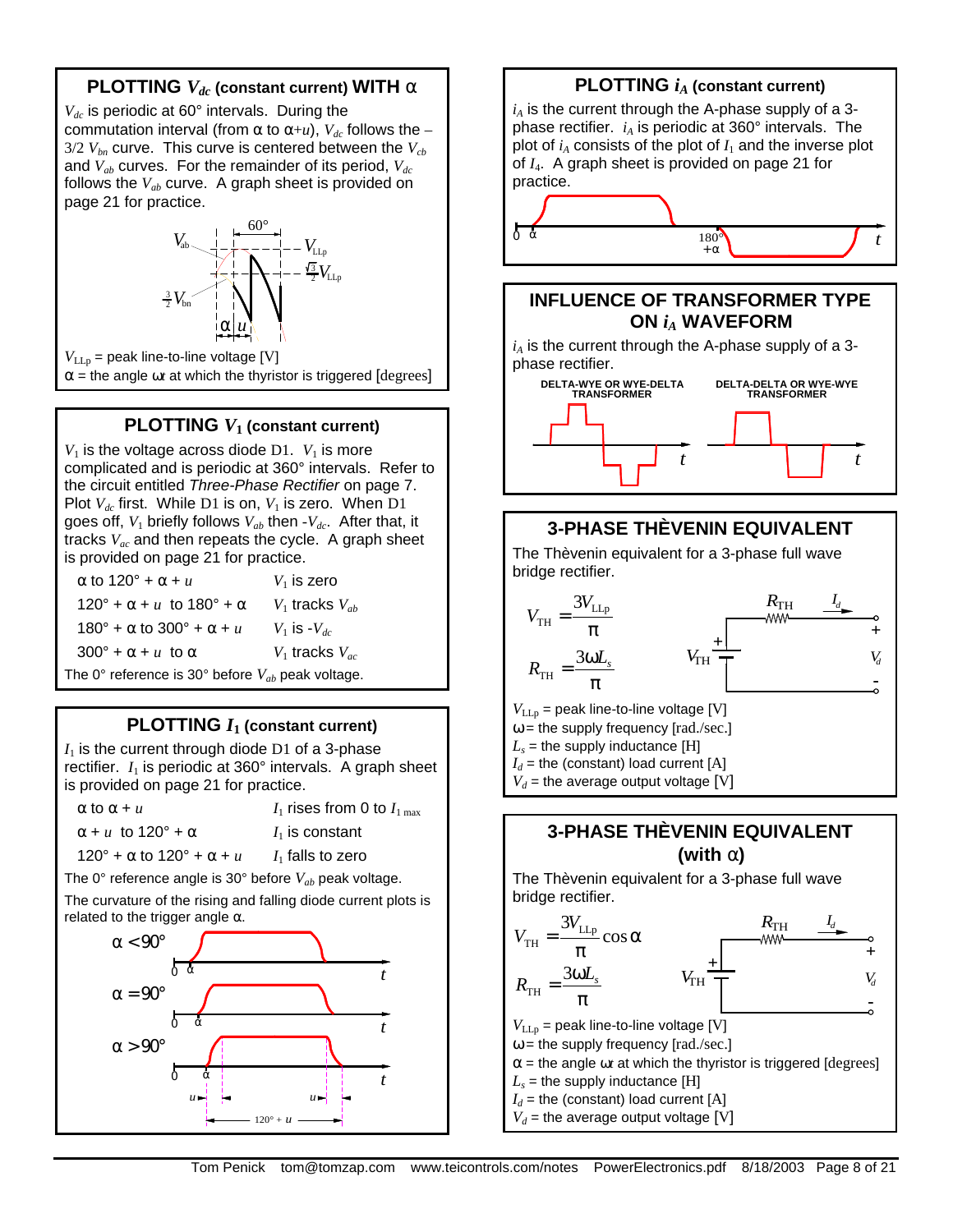### **PLOTTING** *Vdc* **(constant current) WITH a**

*Vdc* is periodic at 60° intervals. During the commutation interval (from  $\alpha$  to  $\alpha+u$ ),  $V_{dc}$  follows the –  $3/2$   $V_{bn}$  curve. This curve is centered between the  $V_{cb}$ and *Vab* curves. For the remainder of its period, *Vdc* follows the *Vab* curve. A graph sheet is provided on page 21 for practice.



 $V_{LLp}$  = peak line-to-line voltage [V]  $\alpha$  = the angle  $\omega t$  at which the thyristor is triggered [degrees]

### **PLOTTING** *V***1 (constant current)**

 $V_1$  is the voltage across diode D1.  $V_1$  is more complicated and is periodic at 360° intervals. Refer to the circuit entitled *Three-Phase Rectifier* on page 7. Plot  $V_{dc}$  first. While D1 is on,  $V_1$  is zero. When D1 goes off,  $V_1$  briefly follows  $V_{ab}$  then  $-V_{dc}$ . After that, it tracks *Vac* and then repeats the cycle. A graph sheet is provided on page 21 for practice.

| $\alpha$ to 120° + $\alpha$ + $\mu$                   | $V_1$ is zero         |
|-------------------------------------------------------|-----------------------|
| $120^\circ + \alpha + u$ to $180^\circ + \alpha$      | $V_1$ tracks $V_{ab}$ |
| $180^\circ$ + α to 300° + α + <i>u</i>                | $V_1$ is $-V_{dc}$    |
| $300^\circ + \alpha + u$ to $\alpha$                  | $V_1$ tracks $V_{ac}$ |
| The 0° reference is 30° before $V_{ab}$ peak voltage. |                       |

### **PLOTTING** *I***1 (constant current)**

 $I_1$  is the current through diode D1 of a 3-phase rectifier.  $I_1$  is periodic at  $360^\circ$  intervals. A graph sheet is provided on page 21 for practice.

| $\alpha$ to $\alpha$ + $\mu$ | $I_1$ rises from 0 to $I_{1\text{ max}}$ |
|------------------------------|------------------------------------------|
|                              |                                          |

 $\alpha + u$  to 120° +  $\alpha$  *I*<sub>1</sub> is constant

 $120^\circ + \alpha$  to  $120^\circ + \alpha + u$  *I*<sub>1</sub> falls to zero

The 0° reference angle is 30° before *Vab* peak voltage.

The curvature of the rising and falling diode current plots is related to the trigger angle  $\alpha$ .





**(with a)**

The Thèvenin equivalent for a 3-phase full wave bridge rectifier.

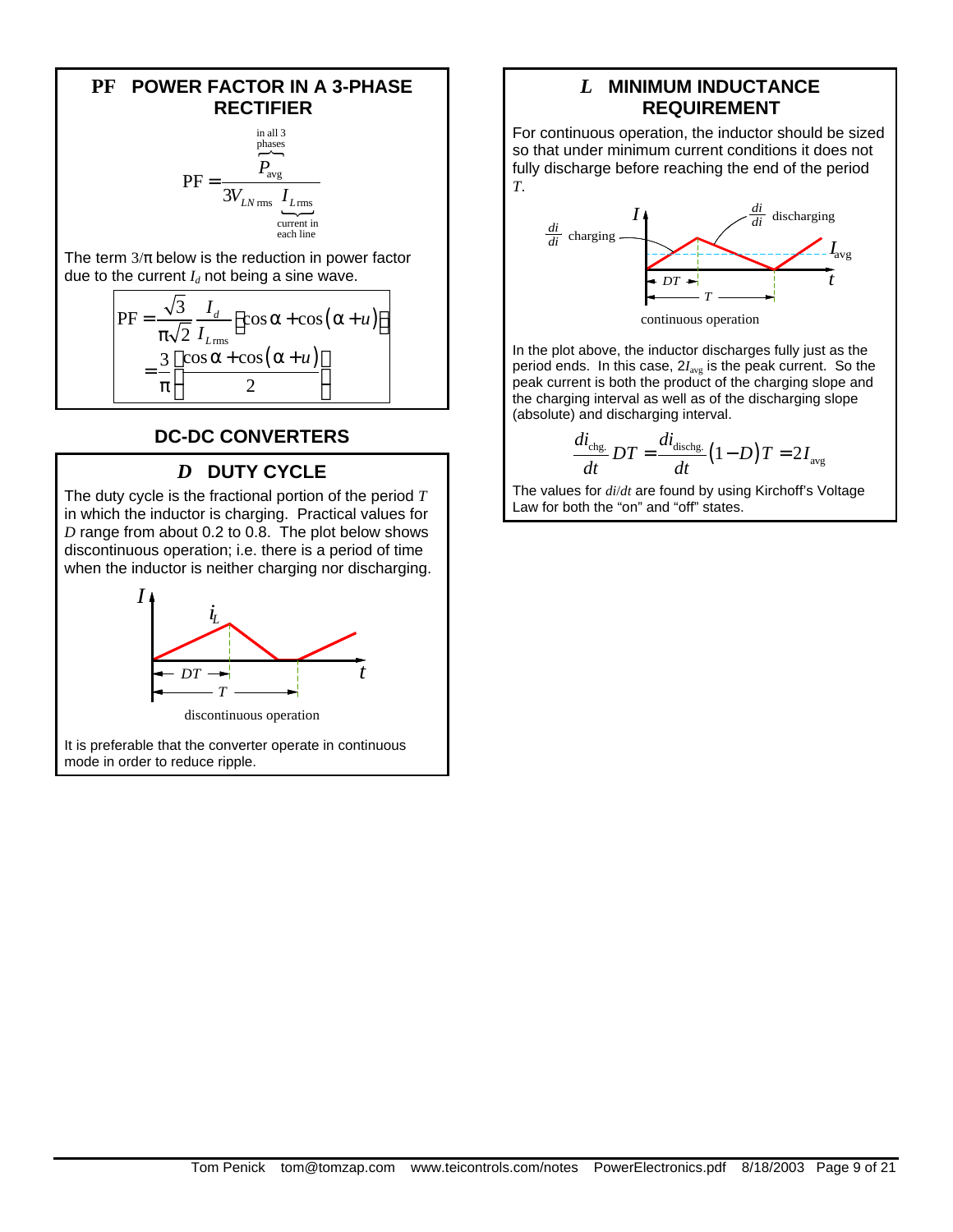#### **PF POWER FACTOR IN A 3-PHASE RECTIFIER**

$$
PF = \frac{\overbrace{P_{avg}}^{\text{in all 3}}}{3V_{LN \text{ rms}} \underbrace{I_{L \text{rms}}}_{\text{current in}}}
$$

The term  $3/\pi$  below is the reduction in power factor due to the current  $I_d$  not being a sine wave.

$$
PF = \frac{\sqrt{3}}{\pi\sqrt{2}} \frac{I_d}{I_{L_{\text{rms}}}} \left[ \cos\alpha + \cos(\alpha + u) \right]
$$

$$
= \frac{3}{\pi} \left[ \frac{\cos\alpha + \cos(\alpha + u)}{2} \right]
$$

### **DC-DC CONVERTERS**

### *D* **DUTY CYCLE**

The duty cycle is the fractional portion of the period *T* in which the inductor is charging. Practical values for *D* range from about 0.2 to 0.8. The plot below shows discontinuous operation; i.e. there is a period of time when the inductor is neither charging nor discharging.



It is preferable that the converter operate in continuous mode in order to reduce ripple.

### *L* **MINIMUM INDUCTANCE REQUIREMENT**

For continuous operation, the inductor should be sized so that under minimum current conditions it does not fully discharge before reaching the end of the period *T*.



continuous operation

In the plot above, the inductor discharges fully just as the period ends. In this case, 2*I*avg is the peak current. So the peak current is both the product of the charging slope and the charging interval as well as of the discharging slope (absolute) and discharging interval.

$$
\frac{di_{\text{chg.}}}{dt}DT = \frac{di_{\text{dischg.}}}{dt}(1-D)T = 2I_{\text{avg}}
$$

The values for *di*/*dt* are found by using Kirchoff's Voltage Law for both the "on" and "off" states.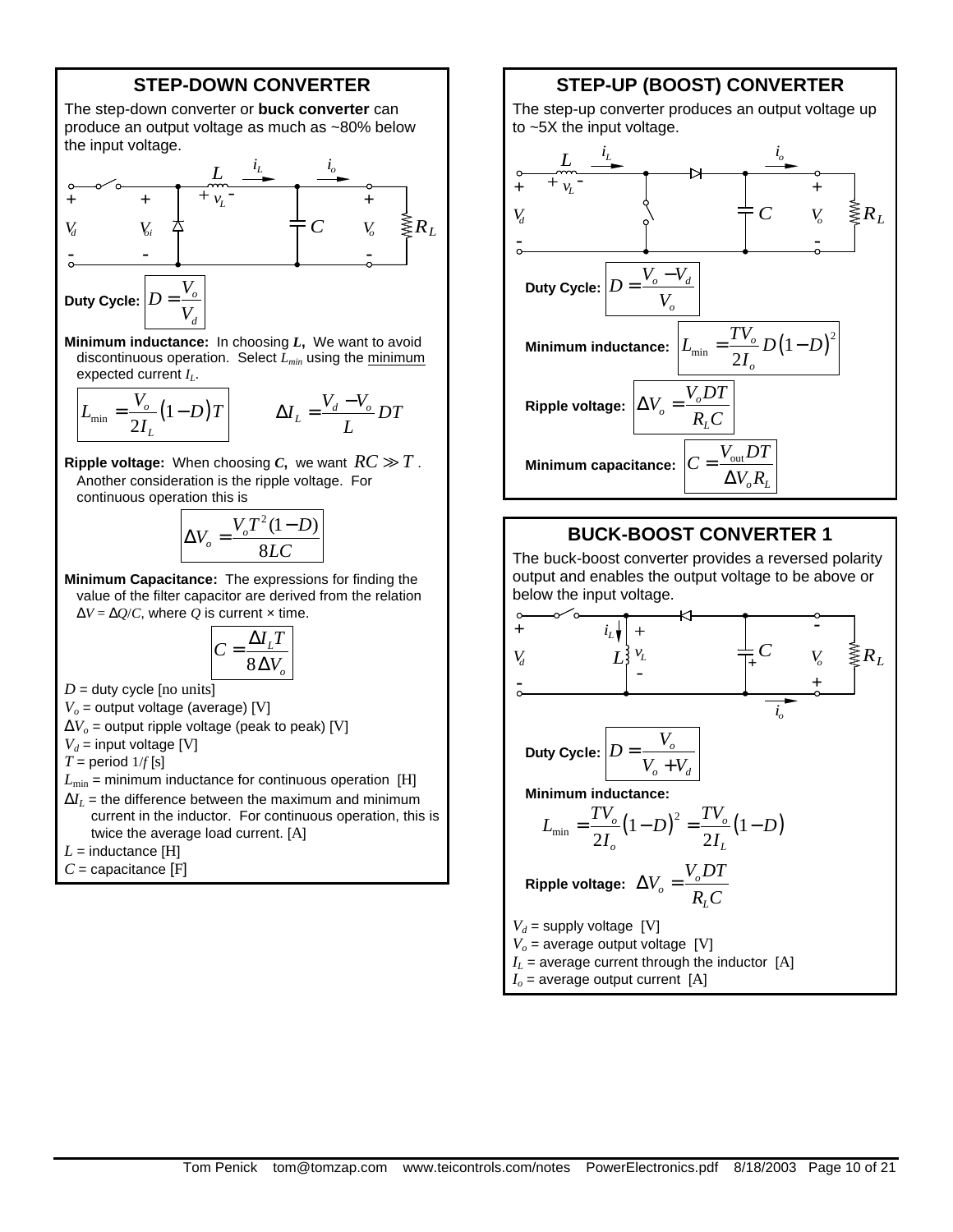#### **STEP-DOWN CONVERTER**

The step-down converter or **buck converter** can produce an output voltage as much as ~80% below the input voltage.



**Minimum inductance:** In choosing *L***,** We want to avoid discontinuous operation. Select *Lmin* using the minimum expected current *IL*.

$$
L_{\min} = \frac{V_o}{2I_L} (1 - D)T
$$
 
$$
\Delta I_L = \frac{V_d - V_o}{L} DT
$$

**Ripple voltage:** When choosing *C*, we want  $RC \gg T$ . Another consideration is the ripple voltage. For continuous operation this is

$$
\Delta V_o = \frac{V_o T^2 (1 - D)}{8LC}
$$

**Minimum Capacitance:** The expressions for finding the value of the filter capacitor are derived from the relation  $\Delta V = \Delta Q/C$ , where *Q* is current x time.

$$
C = \frac{\Delta I_L T}{8 \Delta V_o}
$$

 $D =$  duty cycle [no units]

 $V<sub>o</sub>$  = output voltage (average) [V]

 $\Delta V_o$  = output ripple voltage (peak to peak) [V]

$$
V_d = \text{input voltage [V]}
$$

 $T =$  period  $1/f[s]$ 

 $L_{\text{min}}$  = minimum inductance for continuous operation [H]

 $\Delta I$ <sub>*I*</sub> = the difference between the maximum and minimum current in the inductor. For continuous operation, this is twice the average load current. [A]

 $L =$  inductance [H]

*C* = capacitance [F]

### **STEP-UP (BOOST) CONVERTER**

The step-up converter produces an output voltage up to ~5X the input voltage.



#### **BUCK-BOOST CONVERTER 1**

The buck-boost converter provides a reversed polarity output and enables the output voltage to be above or below the input voltage.

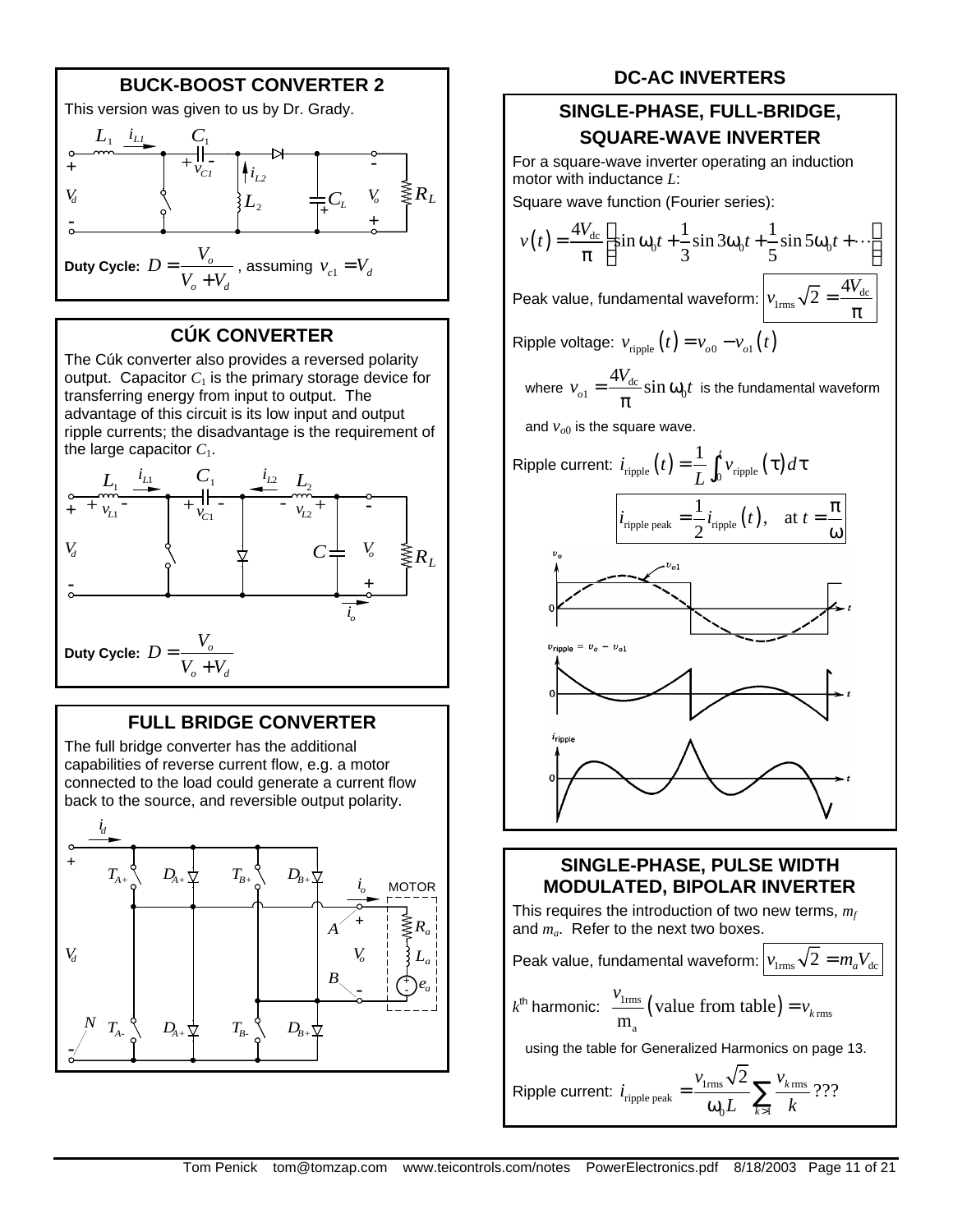

## **CÚK CONVERTER**

The Cúk converter also provides a reversed polarity output. Capacitor  $C_1$  is the primary storage device for transferring energy from input to output. The advantage of this circuit is its low input and output ripple currents; the disadvantage is the requirement of the large capacitor  $C_1$ .



### **FULL BRIDGE CONVERTER**

The full bridge converter has the additional capabilities of reverse current flow, e.g. a motor connected to the load could generate a current flow back to the source, and reversible output polarity.



### **DC-AC INVERTERS**

### **SINGLE-PHASE, FULL-BRIDGE, SQUARE-WAVE INVERTER**

For a square-wave inverter operating an induction motor with inductance *L*:

Square wave function (Fourier series):

$$
v(t) = \frac{4V_{dc}}{\pi} \left[ \sin \omega_0 t + \frac{1}{3} \sin 3\omega_0 t + \frac{1}{5} \sin 5\omega_0 t + \cdots \right]
$$

Peak value, fundamental waveform:  $v_{\text{lrms}}\sqrt{2} = \frac{4v_{\text{dc}}}{\pi}$ 

$$
\sqrt{2} = \frac{4V_{\rm d}}{\pi}
$$

Ripple voltage:  $v_{\text{ringle}}(t) = v_{o0} - v_{o1}(t)$ 

where  $v_{o1} = \frac{-v_{dc}}{2} \sin \omega_0$  $v_{o1} = \frac{4V_{\text{dc}}}{I} \sin \omega_0 t$  $\frac{ac}{\pi}$  sin  $ω_0t$  is the fundamental waveform

and  $v_{o0}$  is the square wave.



### **SINGLE-PHASE, PULSE WIDTH MODULATED, BIPOLAR INVERTER**

This requires the introduction of two new terms, *m<sup>f</sup>* and *ma*. Refer to the next two boxes.

Peak value, fundamental waveform:  $v_{\text{true}}\sqrt{2} = m_{\text{e}}V_{\text{dec}}$  $k^{\text{th}}$  harmonic:  $\frac{\nu_{\text{lrms}}}{\nu_{\text{cm}}}$  (value from table) rms a value from table  $m_a$ <sup>*(value from table) –*  $v_k$ </sup> *v*  $=$   $\nu$ using the table for Generalized Harmonics on page 13.

Ripple current: 
$$
i_{\text{ripple peak}} = \frac{v_{\text{1rms}}\sqrt{2}}{\omega_0 L} \sum_{k>1} \frac{v_{k \text{rms}}}{k}
$$
 ???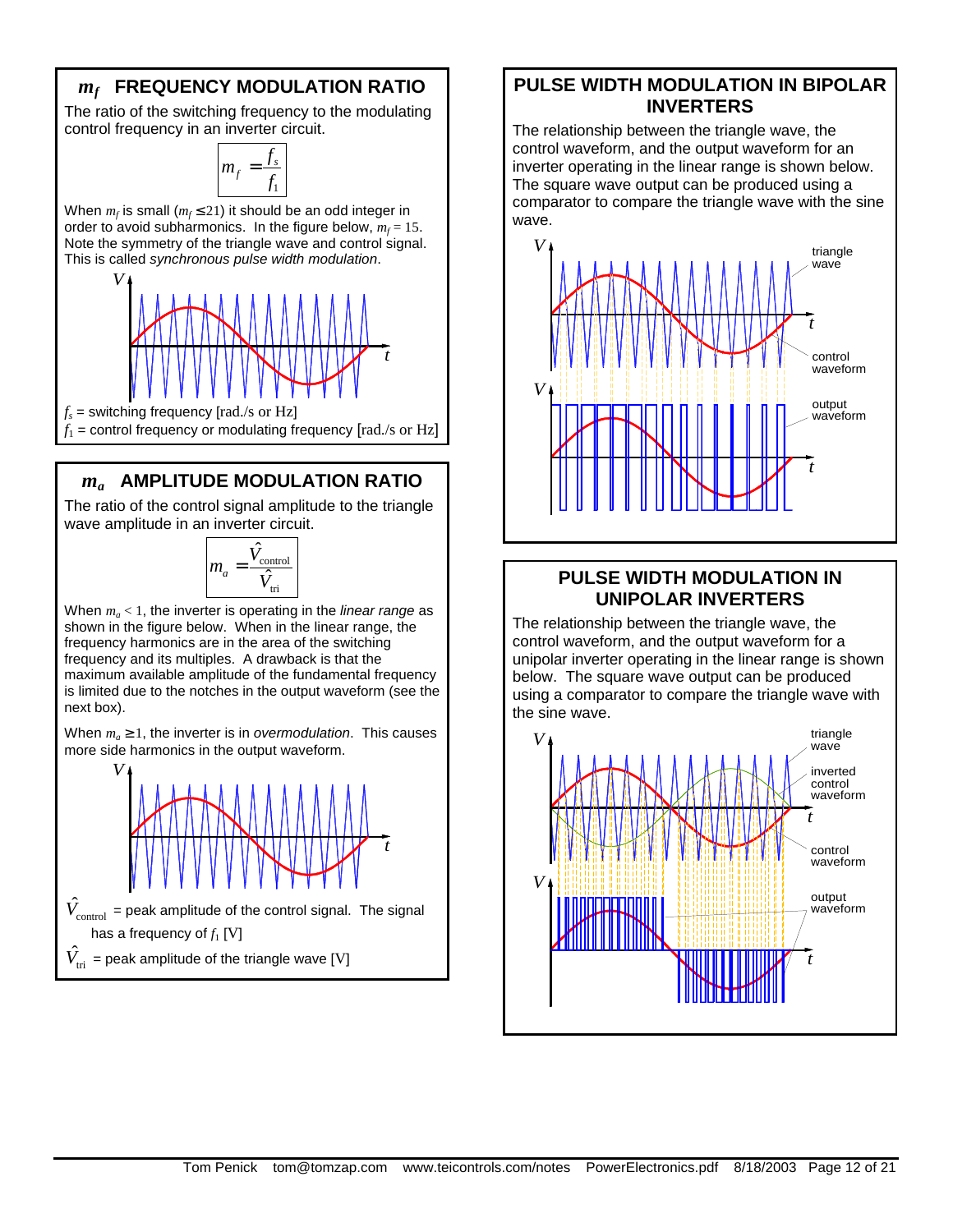## *mf*  **FREQUENCY MODULATION RATIO**

The ratio of the switching frequency to the modulating control frequency in an inverter circuit.

> 1 *s*  $m_f$  = *f f*

When  $m_f$  is small ( $m_f \leq 21$ ) it should be an odd integer in order to avoid subharmonics. In the figure below,  $m_f = 15$ . Note the symmetry of the triangle wave and control signal. This is called *synchronous pulse width modulation*.



### *ma* **AMPLITUDE MODULATION RATIO**

The ratio of the control signal amplitude to the triangle wave amplitude in an inverter circuit.

$$
m_a = \frac{\hat{V}_{\text{control}}}{\hat{V}_{\text{tri}}}
$$

When *m<sup>a</sup>* < 1, the inverter is operating in the *linear range* as shown in the figure below. When in the linear range, the frequency harmonics are in the area of the switching frequency and its multiples. A drawback is that the maximum available amplitude of the fundamental frequency is limited due to the notches in the output waveform (see the next box).

When  $m_a \geq 1$ , the inverter is in *overmodulation*. This causes more side harmonics in the output waveform.



### **PULSE WIDTH MODULATION IN BIPOLAR INVERTERS**

The relationship between the triangle wave, the control waveform, and the output waveform for an inverter operating in the linear range is shown below. The square wave output can be produced using a comparator to compare the triangle wave with the sine wave.



### **PULSE WIDTH MODULATION IN UNIPOLAR INVERTERS**

The relationship between the triangle wave, the control waveform, and the output waveform for a unipolar inverter operating in the linear range is shown below. The square wave output can be produced using a comparator to compare the triangle wave with the sine wave.

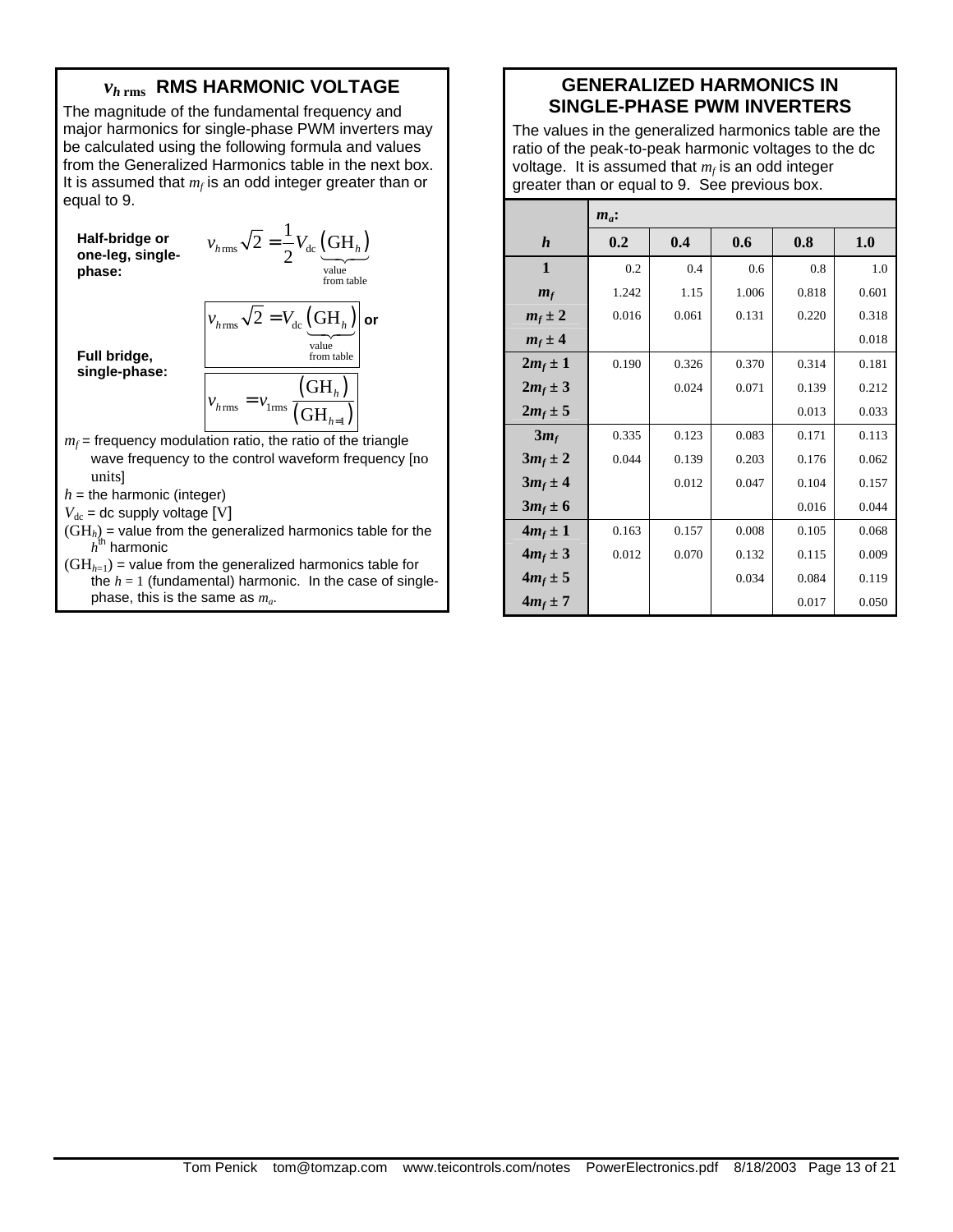### *vh* **rms RMS HARMONIC VOLTAGE**

The magnitude of the fundamental frequency and major harmonics for single-phase PWM inverters may be calculated using the following formula and values from the Generalized Harmonics table in the next box. It is assumed that  $m_f$  is an odd integer greater than or equal to 9.

**Half-bridge or one-leg, singlephase:**   $V_{\text{rms}}\sqrt{2} = \frac{1}{2}V_{\text{dc}}\left(\text{GH}_h\right)$ value from table  $\overline{2} = \frac{1}{2} V_{\text{dc}} (\text{GH})$  $v_{h\text{rms}}\sqrt{2} = \frac{1}{2}V_{\text{dc}}\left(\frac{\text{GH}_h}{\sqrt{2}}\right)$ **Full bridge, single-phase:**  $v_{h\,{\rm rms}}\,\sqrt{2}=V_{\rm dc}\,\displaystyle{\left({\rm GH}_h\right)}$  or value from table  $\left( \mathrm{GH}_{h}\right)$  $\left( \mathrm{GH}_{\scriptscriptstyle h=1}\right)$  $v_{\text{hrms}} = v_{\text{lrms}}$ 1 =

 $m_f$  = frequency modulation ratio, the ratio of the triangle wave frequency to the control waveform frequency [no units]

 $h =$  the harmonic (integer)

 $V_{\text{dc}}$  = dc supply voltage [V]

- (GH*h*) = value from the generalized harmonics table for the  $h^{\sf th}$  harmonic
- $(GH<sub>h=1</sub>)$  = value from the generalized harmonics table for the  $h = 1$  (fundamental) harmonic. In the case of singlephase, this is the same as *m<sup>a</sup>* .

### **GENERALIZED HARMONICS IN SINGLE-PHASE PWM INVERTERS**

The values in the generalized harmonics table are the ratio of the peak-to-peak harmonic voltages to the dc voltage. It is assumed that *m<sup>f</sup>* is an odd integer greater than or equal to 9. See previous box.

|                  | $m_a$ : |       |       |       |       |
|------------------|---------|-------|-------|-------|-------|
| $\boldsymbol{h}$ | 0.2     | 0.4   | 0.6   | 0.8   | 1.0   |
| $\mathbf{1}$     | 0.2     | 0.4   | 0.6   | 0.8   | 1.0   |
| $m_f$            | 1.242   | 1.15  | 1.006 | 0.818 | 0.601 |
| $m_f \pm 2$      | 0.016   | 0.061 | 0.131 | 0.220 | 0.318 |
| $m_f \pm 4$      |         |       |       |       | 0.018 |
| $2m_f \pm 1$     | 0.190   | 0.326 | 0.370 | 0.314 | 0.181 |
| $2m_f \pm 3$     |         | 0.024 | 0.071 | 0.139 | 0.212 |
| $2m_f \pm 5$     |         |       |       | 0.013 | 0.033 |
| $3m_f$           | 0.335   | 0.123 | 0.083 | 0.171 | 0.113 |
| $3m_f \pm 2$     | 0.044   | 0.139 | 0.203 | 0.176 | 0.062 |
| $3m_f \pm 4$     |         | 0.012 | 0.047 | 0.104 | 0.157 |
| $3m_f \pm 6$     |         |       |       | 0.016 | 0.044 |
| $4m_f \pm 1$     | 0.163   | 0.157 | 0.008 | 0.105 | 0.068 |
| $4m_f \pm 3$     | 0.012   | 0.070 | 0.132 | 0.115 | 0.009 |
| $4m_f \pm 5$     |         |       | 0.034 | 0.084 | 0.119 |
| $4m_f \pm 7$     |         |       |       | 0.017 | 0.050 |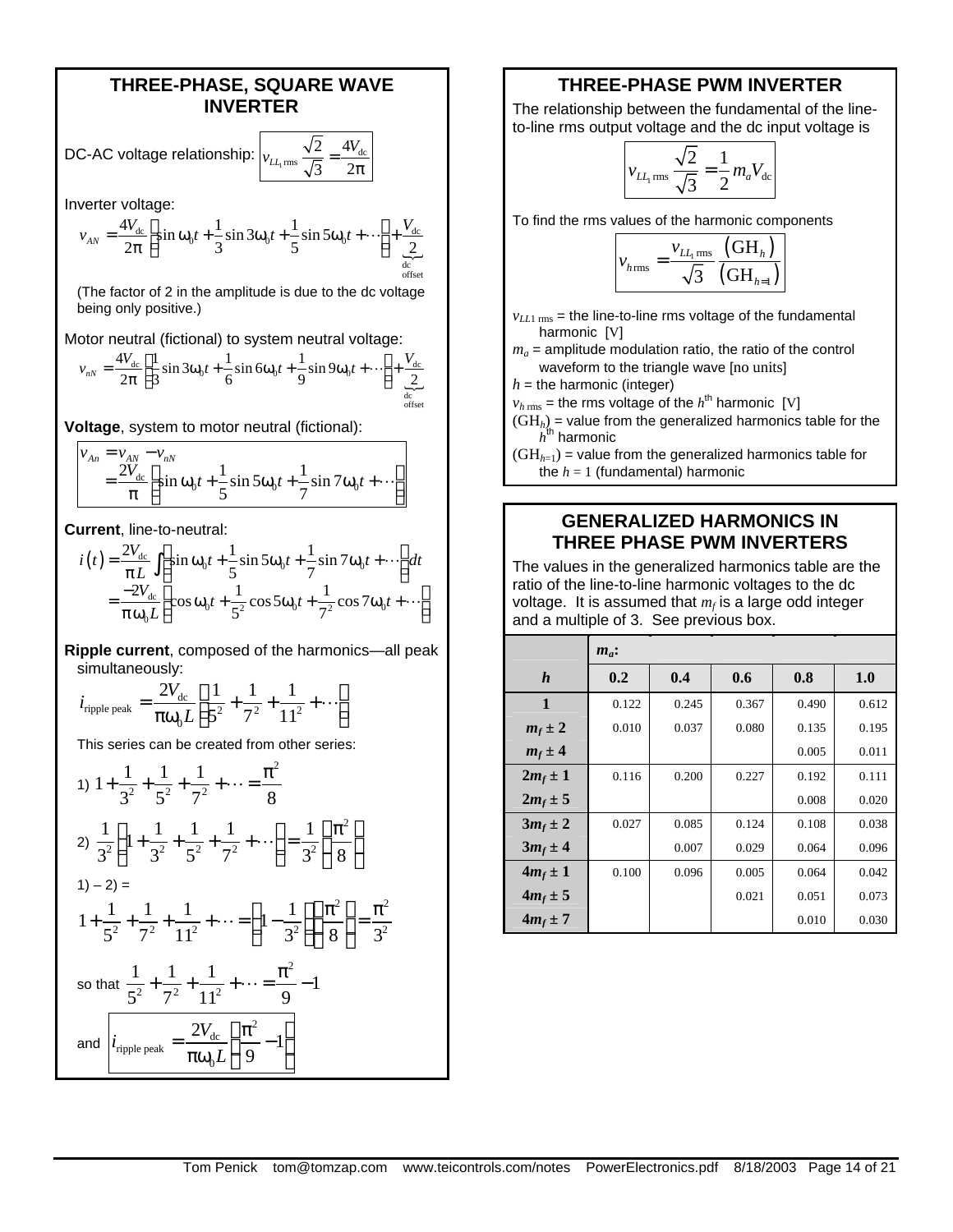#### **THREE-PHASE, SQUARE WAVE INVERTER**

 $2 - 4V_{\text{dc}}$ 3  $2\pi$ 

DC-AC voltage relationship:  $v_{LL_{1} \text{rms}} \frac{\sqrt{2}}{\sqrt{2}} =$ 

Inverter voltage:

$$
v_{AN} = \frac{4V_{dc}}{2\pi} \left[ \sin \omega_0 t + \frac{1}{3} \sin 3\omega_0 t + \frac{1}{5} \sin 5\omega_0 t + \cdots \right] + \underbrace{\frac{V_{dc}}{2}}_{\text{of its}}
$$

(The factor of 2 in the amplitude is due to the dc voltage being only positive.)

Motor neutral (fictional) to system neutral voltage:

$$
v_{nN} = \frac{4V_{dc}}{2\pi} \left[ \frac{1}{3} \sin 3\omega_0 t + \frac{1}{6} \sin 6\omega_0 t + \frac{1}{9} \sin 9\omega_0 t + \cdots \right] + \underbrace{\frac{V_{dc}}{2}}_{\text{defect}}
$$

**Voltage**, system to motor neutral (fictional):

$$
v_{An} = v_{AN} - v_{nN}
$$
  
=  $\frac{2V_{dc}}{\pi} \left[ \sin \omega_0 t + \frac{1}{5} \sin 5\omega_0 t + \frac{1}{7} \sin 7\omega_0 t + \cdots \right]$ 

**Current**, line-to-neutral:

$$
i(t) = \frac{2V_{dc}}{\pi L} \int \left[ \sin \omega_0 t + \frac{1}{5} \sin 5\omega_0 t + \frac{1}{7} \sin 7\omega_0 t + \cdots \right] dt
$$
  
= 
$$
\frac{-2V_{dc}}{\pi \omega_0 L} \left[ \cos \omega_0 t + \frac{1}{5^2} \cos 5\omega_0 t + \frac{1}{7^2} \cos 7\omega_0 t + \cdots \right]
$$

**Ripple current**, composed of the harmonics—all peak simultaneously:

$$
i_{\text{ripple peak}} = \frac{2V_{\text{dc}}}{\pi \omega_0 L} \left[ \frac{1}{5^2} + \frac{1}{7^2} + \frac{1}{11^2} + \cdots \right]
$$

This series can be created from other series:

1) 
$$
1 + \frac{1}{3^2} + \frac{1}{5^2} + \frac{1}{7^2} + \dots = \frac{\pi^2}{8}
$$
  
\n2)  $\frac{1}{3^2} \left( 1 + \frac{1}{3^2} + \frac{1}{5^2} + \frac{1}{7^2} + \dots \right) = \frac{1}{3^2} \left( \frac{\pi^2}{8} \right)$   
\n3)  $-2$  =  
\n $1 + \frac{1}{5^2} + \frac{1}{7^2} + \frac{1}{11^2} + \dots = \left( 1 - \frac{1}{3^2} \right) \left( \frac{\pi^2}{8} \right) = \frac{\pi^2}{3^2}$   
\nso that  $\frac{1}{5^2} + \frac{1}{7^2} + \frac{1}{11^2} + \dots = \frac{\pi^2}{9} - 1$   
\nand  $\left| i_{\text{triple peak}} \right| = \frac{2V_{dc}}{\pi \omega_0 L} \left( \frac{\pi^2}{9} - 1 \right)$ 

### **THREE-PHASE PWM INVERTER**

The relationship between the fundamental of the lineto-line rms output voltage and the dc input voltage is

$$
v_{LL_{1} \text{ rms}} \frac{\sqrt{2}}{\sqrt{3}} = \frac{1}{2} m_{a} V_{\text{dc}}
$$

To find the rms values of the harmonic components

$$
v_{h\text{rms}} = \frac{v_{LL_{1}\text{rms}}}{\sqrt{3}} \frac{\text{(GH)}_{h}\text{)}}{\text{(GH)}_{h=1}\text{)}}
$$

- $v_{LL1\,\text{rms}}$  = the line-to-line rms voltage of the fundamental harmonic [V]
- $m_a$  = amplitude modulation ratio, the ratio of the control waveform to the triangle wave [no units]

 $h =$  the harmonic (integer)

- $v_{h\, {\rm rms}}$  = the rms voltage of the  $h^{\rm th}$  harmonic [V]
- $(GH_h)$  = value from the generalized harmonics table for the  $h^{\sf th}$  harmonic
- $(GH<sub>h=1</sub>)$  = value from the generalized harmonics table for the  $h = 1$  (fundamental) harmonic

#### **GENERALIZED HARMONICS IN THREE PHASE PWM INVERTERS**

The values in the generalized harmonics table are the ratio of the line-to-line harmonic voltages to the dc voltage. It is assumed that *m<sup>f</sup>* is a large odd integer and a multiple of 3. See previous box.

|                  | $m_a$ : |       |       |       |       |
|------------------|---------|-------|-------|-------|-------|
| $\boldsymbol{h}$ | 0.2     | 0.4   | 0.6   | 0.8   | 1.0   |
| 1                | 0.122   | 0.245 | 0.367 | 0.490 | 0.612 |
| $m_f \pm 2$      | 0.010   | 0.037 | 0.080 | 0.135 | 0.195 |
| $m_f \pm 4$      |         |       |       | 0.005 | 0.011 |
| $2m_f \pm 1$     | 0.116   | 0.200 | 0.227 | 0.192 | 0.111 |
| $2m_f \pm 5$     |         |       |       | 0.008 | 0.020 |
| $3m_f \pm 2$     | 0.027   | 0.085 | 0.124 | 0.108 | 0.038 |
| $3m_f \pm 4$     |         | 0.007 | 0.029 | 0.064 | 0.096 |
| $4m_f \pm 1$     | 0.100   | 0.096 | 0.005 | 0.064 | 0.042 |
| $4m_f \pm 5$     |         |       | 0.021 | 0.051 | 0.073 |
| $4m_f \pm 7$     |         |       |       | 0.010 | 0.030 |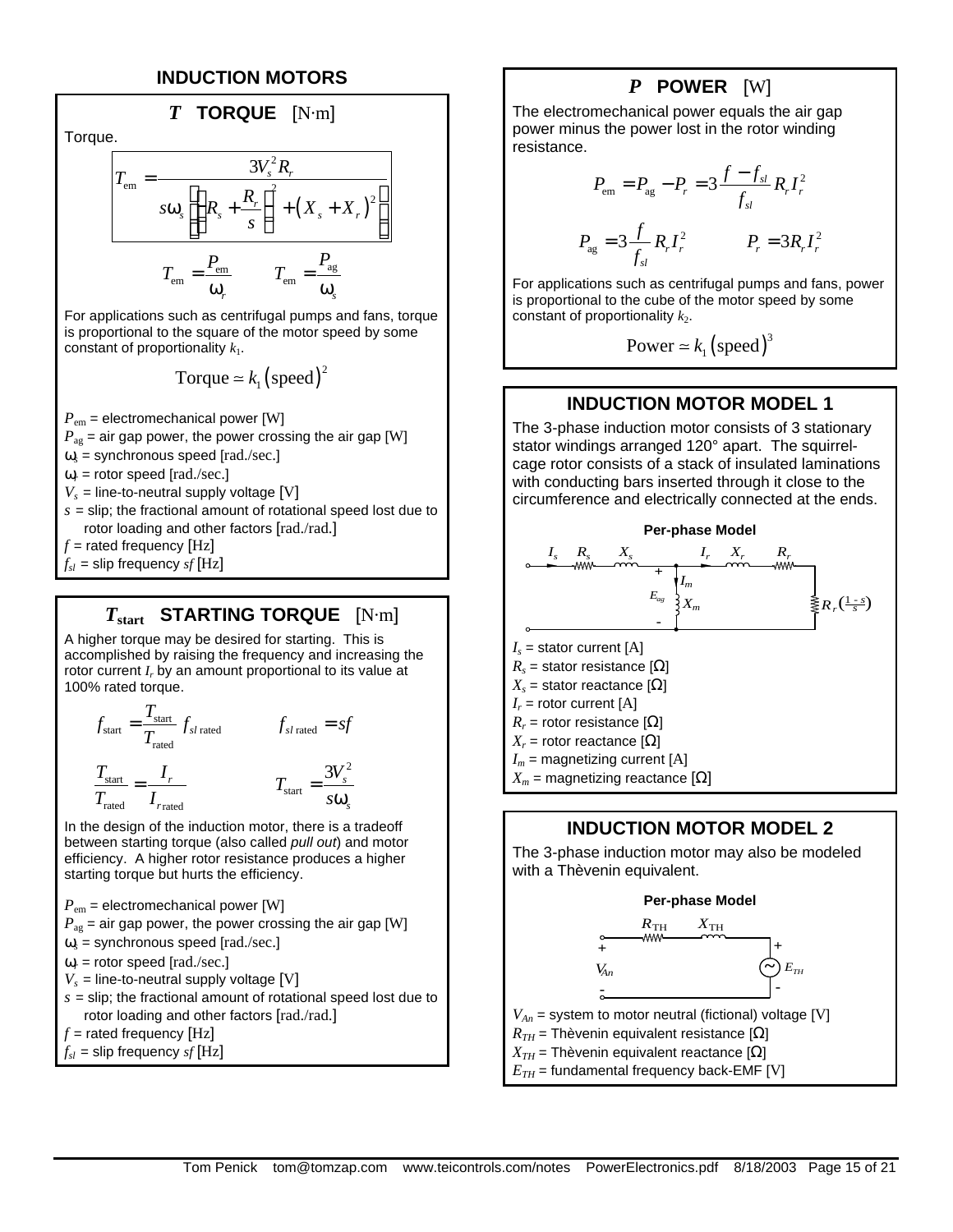#### **INDUCTION MOTORS**



 $\omega_s$  = synchronous speed [rad./sec.]

 $\omega_r$  = rotor speed [rad./sec.]

 $V<sub>s</sub>$  = line-to-neutral supply voltage [V]

 $s =$  slip; the fractional amount of rotational speed lost due to rotor loading and other factors [rad./rad.]

 $f$  = rated frequency  $[Hz]$ 

 $f_{sl}$  = slip frequency *sf* [Hz]

### *T***start STARTING TORQUE** [N·m]

A higher torque may be desired for starting. This is accomplished by raising the frequency and increasing the rotor current *I<sub>r</sub>* by an amount proportional to its value at 100% rated torque.

$$
f_{\text{start}} = \frac{T_{\text{start}}}{T_{\text{rated}}} f_{sl \text{ rated}}
$$
\n
$$
f_{sl \text{ rated}} = sf
$$
\n
$$
\frac{T_{\text{start}}}{T_{\text{rated}}} = \frac{I_r}{I_{\text{rated}}}
$$
\n
$$
T_{\text{start}} = \frac{3V_s^2}{s\omega_s}
$$

In the design of the induction motor, there is a tradeoff between starting torque (also called *pull out*) and motor efficiency. A higher rotor resistance produces a higher starting torque but hurts the efficiency.

 $P_{\text{em}}$  = electromechanical power [W]

$$
P_{\text{ag}}
$$
 = air gap power, the power crossing the air gap [W]

 $\omega_s$  = synchronous speed [rad./sec.]

$$
\omega_r = \text{rotor speed [rad./sec.]}
$$

 $V_s$  = line-to-neutral supply voltage [V]

$$
s = \text{slip}
$$
; the fractional amount of rotational speed lost due to rotor loading and other factors [rad./rad.]

 $f$  = rated frequency  $[Hz]$ 

 $f_{sl}$  = slip frequency  $sf[Hz]$ 

### *P* **POWER** [W]

The electromechanical power equals the air gap power minus the power lost in the rotor winding resistance.

$$
P_{\text{em}} = P_{\text{ag}} - P_r = 3 \frac{f - f_{sl}}{f_{sl}} R_r I_r^2
$$
  

$$
P_{\text{ag}} = 3 \frac{f}{f_{sl}} R_r I_r^2 \qquad P_r = 3 R_r I_r^2
$$

For applications such as centrifugal pumps and fans, power is proportional to the cube of the motor speed by some constant of proportionality  $k_2$ .

Power 
$$
\simeq k_1
$$
 (speed)<sup>3</sup>

### **INDUCTION MOTOR MODEL 1**

The 3-phase induction motor consists of 3 stationary stator windings arranged 120° apart. The squirrelcage rotor consists of a stack of insulated laminations with conducting bars inserted through it close to the circumference and electrically connected at the ends.



### **INDUCTION MOTOR MODEL 2**

The 3-phase induction motor may also be modeled with a Thèvenin equivalent.

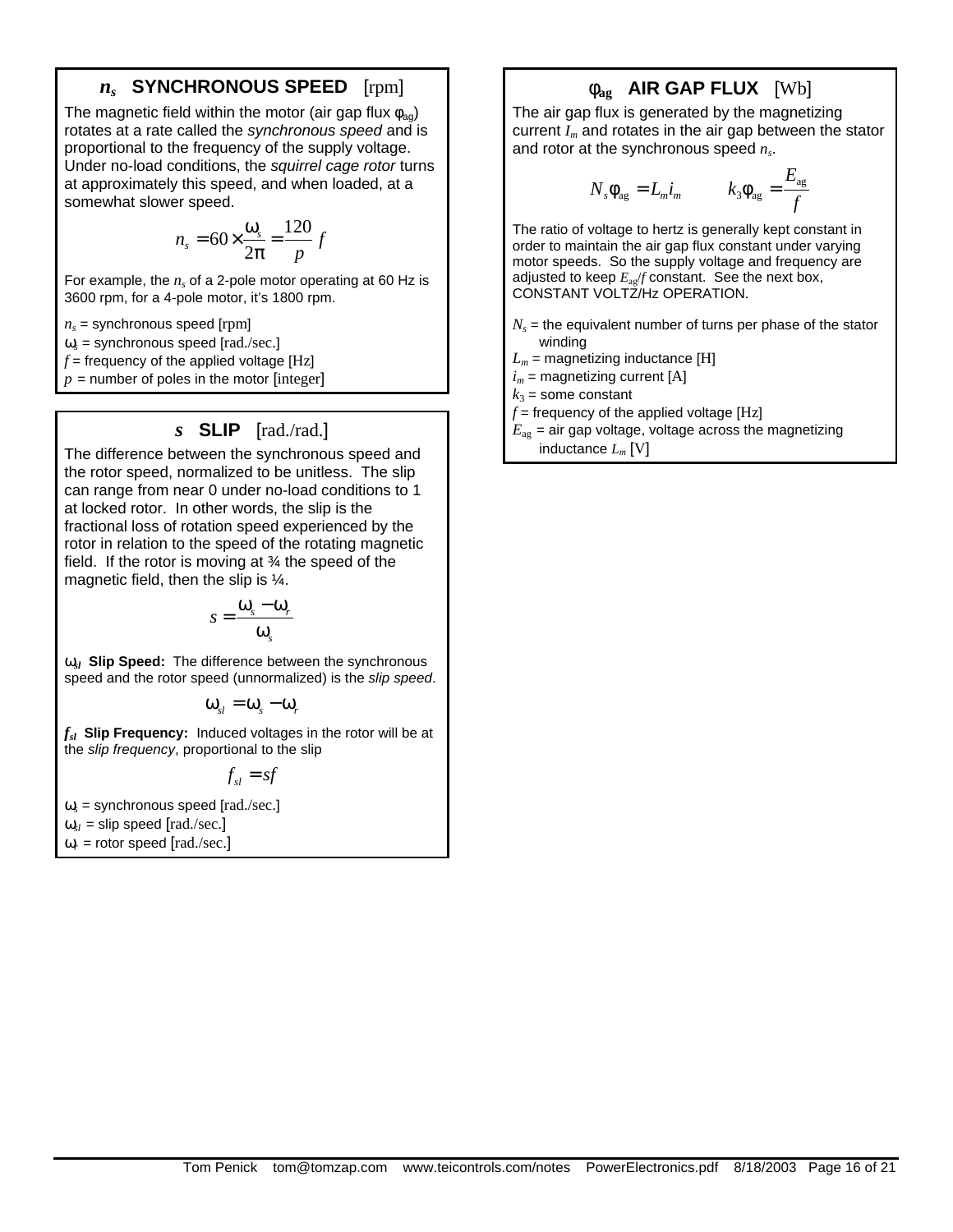### *ns*  **SYNCHRONOUS SPEED** [rpm]

The magnetic field within the motor (air gap flux  $\phi_{aa}$ ) rotates at a rate called the *synchronous speed* and is proportional to the frequency of the supply voltage. Under no-load conditions, the *squirrel cage rotor* turns at approximately this speed, and when loaded, at a somewhat slower speed.

$$
n_s = 60 \times \frac{\omega_s}{2\pi} = \frac{120}{p} f
$$

For example, the  $n_s$  of a 2-pole motor operating at 60 Hz is 3600 rpm, for a 4-pole motor, it's 1800 rpm.

 $n<sub>s</sub>$  = synchronous speed [rpm]

 $\omega_s$  = synchronous speed [rad./sec.]

 $f$  = frequency of the applied voltage [Hz]

 $p =$  number of poles in the motor [integer]

#### *s* **SLIP** [rad./rad.]

The difference between the synchronous speed and the rotor speed, normalized to be unitless. The slip can range from near 0 under no-load conditions to 1 at locked rotor. In other words, the slip is the fractional loss of rotation speed experienced by the rotor in relation to the speed of the rotating magnetic field. If the rotor is moving at  $\frac{3}{4}$  the speed of the magnetic field, then the slip is ¼.

$$
s = \frac{\omega_s - \omega_r}{\omega_s}
$$

**w**<sub>*i*</sub> Slip Speed: The difference between the synchronous speed and the rotor speed (unnormalized) is the *slip speed*.

$$
\mathbf{\omega}_{sl} = \mathbf{\omega}_{s} - \mathbf{\omega}_{r}
$$

*fsl* **Slip Frequency:** Induced voltages in the rotor will be at the *slip frequency*, proportional to the slip

 $f_{sl} = sf$ 

 $\omega_s$  = synchronous speed [rad./sec.]

 $\omega_{sl}$  = slip speed [rad./sec.]

 $\omega_r$  = rotor speed [rad./sec.]

## **fag AIR GAP FLUX** [Wb]

The air gap flux is generated by the magnetizing current *Im* and rotates in the air gap between the stator and rotor at the synchronous speed *n<sup>s</sup>* .

$$
N_{s}\Phi_{\text{ag}} = L_{m}i_{m} \qquad k_{3}\Phi_{\text{ag}} = \frac{E_{\text{ag}}}{f}
$$

The ratio of voltage to hertz is generally kept constant in order to maintain the air gap flux constant under varying motor speeds. So the supply voltage and frequency are adjusted to keep  $E_{av}/f$  constant. See the next box, CONSTANT VOLTZ/Hz OPERATION.

- $N_s$  = the equivalent number of turns per phase of the stator winding
- $L_m$  = magnetizing inductance [H]

 $i_m$  = magnetizing current [A]

 $k_3$  = some constant

 $f =$  frequency of the applied voltage  $[Hz]$ 

 $E_{\text{ag}}$  = air gap voltage, voltage across the magnetizing inductance *L<sup>m</sup>* [V]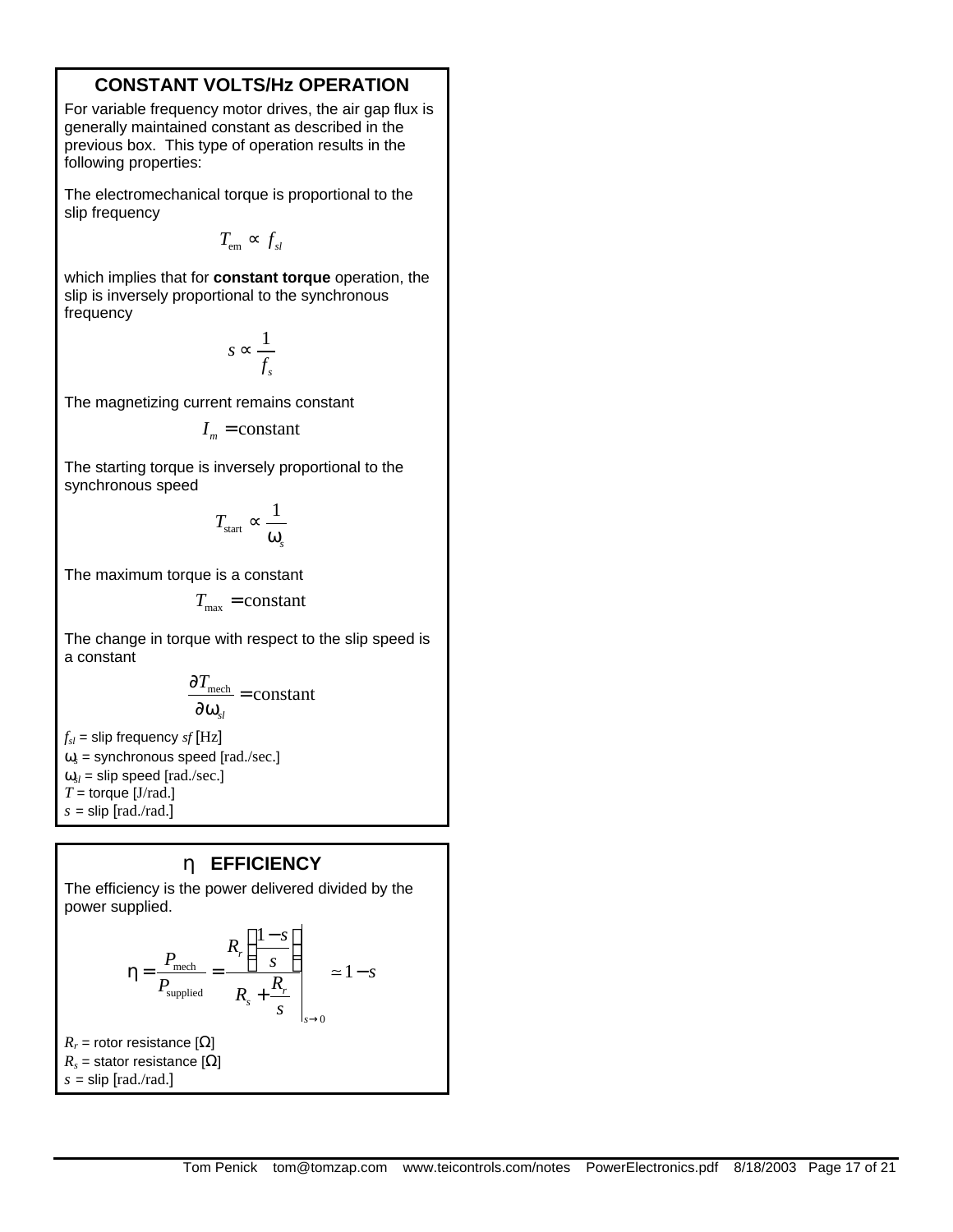### **CONSTANT VOLTS/Hz OPERATION**

For variable frequency motor drives, the air gap flux is generally maintained constant as described in the previous box. This type of operation results in the following properties:

The electromechanical torque is proportional to the slip frequency

 $T_{em} \propto f_{sl}$ 

which implies that for **constant torque** operation, the slip is inversely proportional to the synchronous frequency

$$
s \propto \frac{1}{f_s}
$$

The magnetizing current remains constant

 $I_m$  = constant

The starting torque is inversely proportional to the synchronous speed

$$
T_{\text{start}} \propto \frac{1}{\omega_s}
$$

The maximum torque is a constant

$$
T_{\max} = constant
$$

The change in torque with respect to the slip speed is a constant

$$
\frac{\partial T_{\text{mech}}}{\partial \omega_{sl}} = \text{constant}
$$

 $f_{sl}$  = slip frequency *sf* [Hz]  $\omega_s$  = synchronous speed [rad./sec.]  $\omega_{sl}$  = slip speed [rad./sec.]  $T =$  torque [J/rad.]  $s =$ slip [rad./rad.]

### **h EFFICIENCY**

The efficiency is the power delivered divided by the power supplied.

$$
\eta = \frac{P_{\text{mech}}}{P_{\text{supplied}}} = \frac{R_r \left( \frac{1-s}{s} \right)}{R_s + \frac{R_r}{s}} \approx 1 - s
$$

 $R_r$  = rotor resistance [ $\Omega$ ]  $R_s$  = stator resistance [ $\Omega$ ]  $s =$ slip  $[rad./rad.]$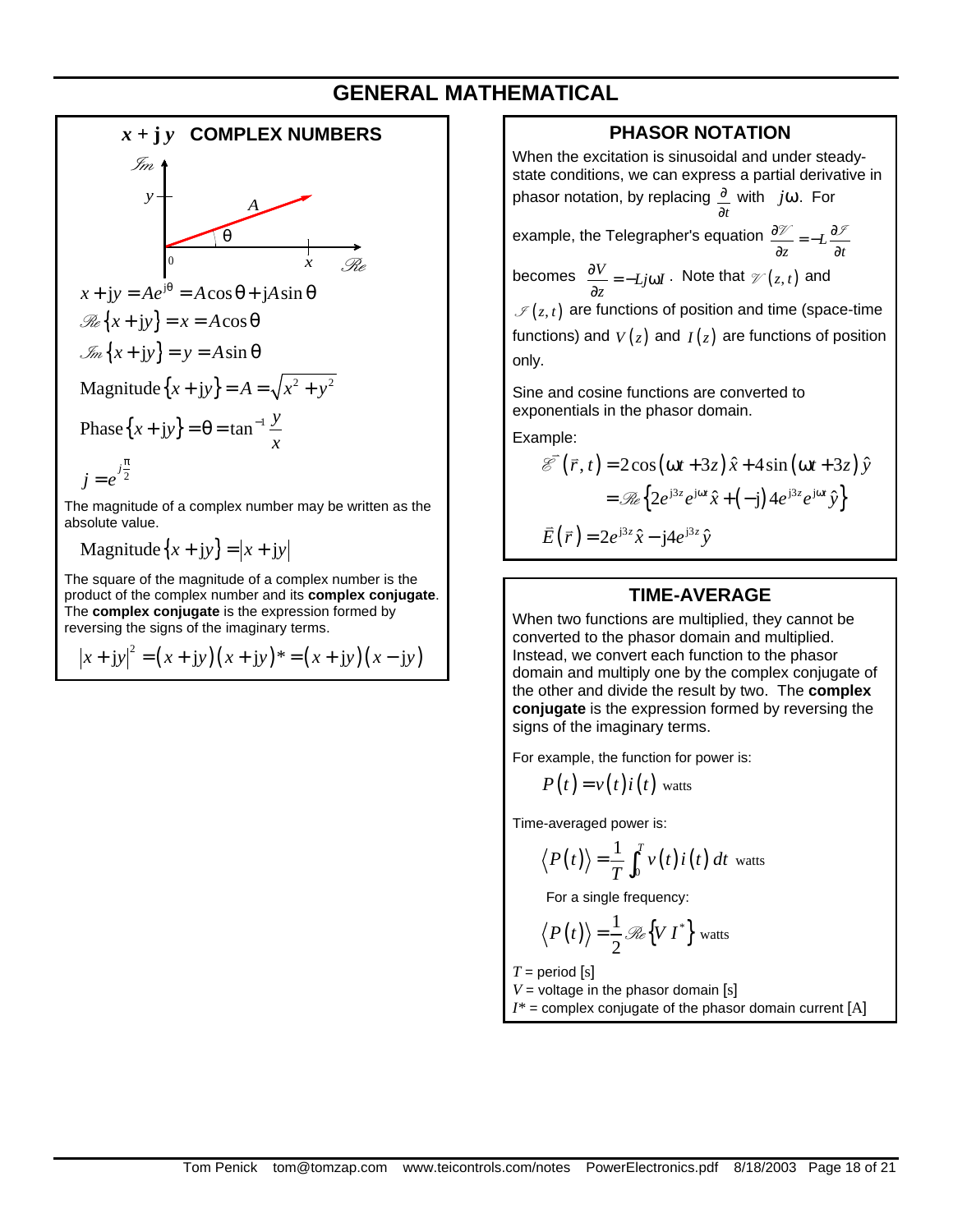## **GENERAL MATHEMATICAL**



Magnitude $\{x + iy\} = |x + iy|$ 

The square of the magnitude of a complex number is the product of the complex number and its **complex conjugate**. The **complex conjugate** is the expression formed by reversing the signs of the imaginary terms.

$$
|x + jy|^2 = (x + jy)(x + jy)^* = (x + jy)(x - jy)
$$

### **PHASOR NOTATION**

When the excitation is sinusoidal and under steadystate conditions, we can express a partial derivative in phasor notation, by replacing *t* ∂ ∂ with *j*ω. For

example, the Telegrapher's equation  $\frac{\partial \mathcal{V}}{\partial z} = -L \frac{\partial \mathcal{V}}{\partial t}$  $rac{\partial \mathcal{V}}{\partial z} = -L \frac{\partial \mathcal{V}}{\partial z}$  $\mathcal{U} = -L \frac{\partial \mathcal{I}}{\partial x}$ 

becomes  $\frac{\partial V}{\partial z} = -Lj\omega I$  $\frac{\partial V}{\partial z}$  = −*Lj*ω*I* . Note that  $\mathcal{V}(z, t)$  and  $\mathscr{I}(z,t)$  are functions of position and time (space-time

functions) and  $V(z)$  and  $I(z)$  are functions of position only.

Sine and cosine functions are converted to exponentials in the phasor domain.

Example:

$$
\overrightarrow{\mathcal{E}}(\overrightarrow{r}, t) = 2\cos(\omega t + 3z)\hat{x} + 4\sin(\omega t + 3z)\hat{y}
$$

$$
= \mathcal{R}\left\{2e^{j3z}e^{j\omega t}\hat{x} + (-j)4e^{j3z}e^{j\omega t}\hat{y}\right\}
$$

$$
\overrightarrow{E}(\overrightarrow{r}) = 2e^{j3z}\hat{x} - j4e^{j3z}\hat{y}
$$

#### **TIME-AVERAGE**

When two functions are multiplied, they cannot be converted to the phasor domain and multiplied. Instead, we convert each function to the phasor domain and multiply one by the complex conjugate of the other and divide the result by two. The **complex conjugate** is the expression formed by reversing the signs of the imaginary terms.

For example, the function for power is:

$$
P(t) = v(t)i(t)
$$
 watts

Time-averaged power is:

$$
\langle P(t) \rangle = \frac{1}{T} \int_0^T v(t) i(t) dt
$$
 watts

For a single frequency:

$$
\langle P(t) \rangle = \frac{1}{2} \mathcal{R}e \{ V I^* \}
$$
 watts

 $T =$  period [s]

 $V =$  voltage in the phasor domain [s]  $I^*$  = complex conjugate of the phasor domain current  $[A]$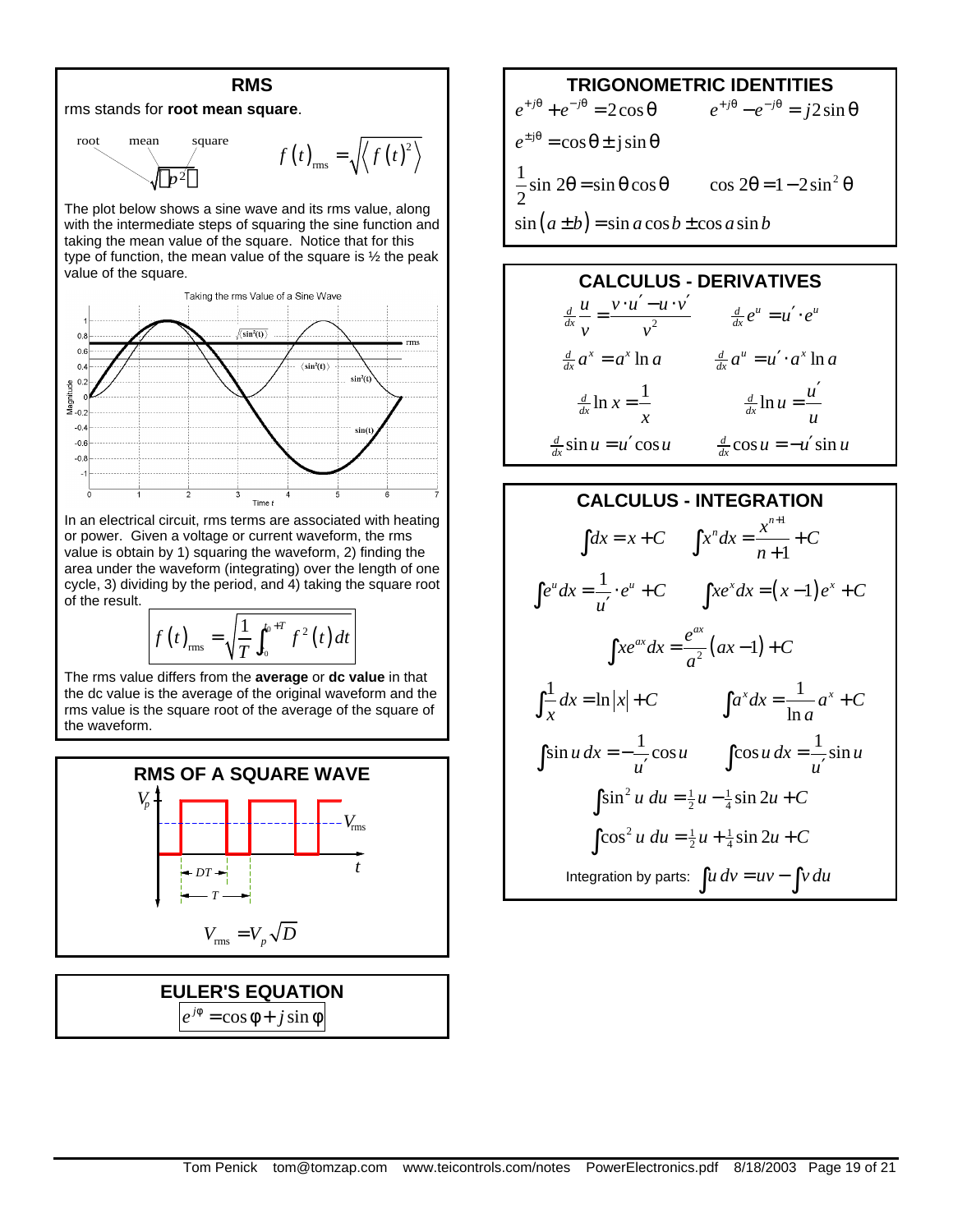

The plot below shows a sine wave and its rms value, along with the intermediate steps of squaring the sine function and taking the mean value of the square. Notice that for this type of function, the mean value of the square is ½ the peak value of the square.



In an electrical circuit, rms terms are associated with heating or power. Given a voltage or current waveform, the rms value is obtain by 1) squaring the waveform, 2) finding the area under the waveform (integrating) over the length of one cycle, 3) dividing by the period, and 4) taking the square root of the result.

$$
f(t)_{\text{rms}} = \sqrt{\frac{1}{T} \int_{t_0}^{t_0+T} f^2(t) dt}
$$

The rms value differs from the **average** or **dc value** in that the dc value is the average of the original waveform and the rms value is the square root of the average of the square of the waveform.



**EULER'S EQUATION**  $e^{j\phi} = \cos \phi + j \sin \phi$ 

### **TRIGONOMETRIC IDENTITIES**

$$
e^{+j\theta} + e^{-j\theta} = 2\cos\theta \qquad e^{+j\theta} - e^{-j\theta} = j2\sin\theta
$$
  

$$
e^{\pm j\theta} = \cos\theta \pm j\sin\theta
$$
  

$$
\frac{1}{2}\sin 2\theta = \sin\theta\cos\theta \qquad \cos 2\theta = 1 - 2\sin^2\theta
$$
  

$$
\sin(a \pm b) = \sin a \cos b \pm \cos a \sin b
$$



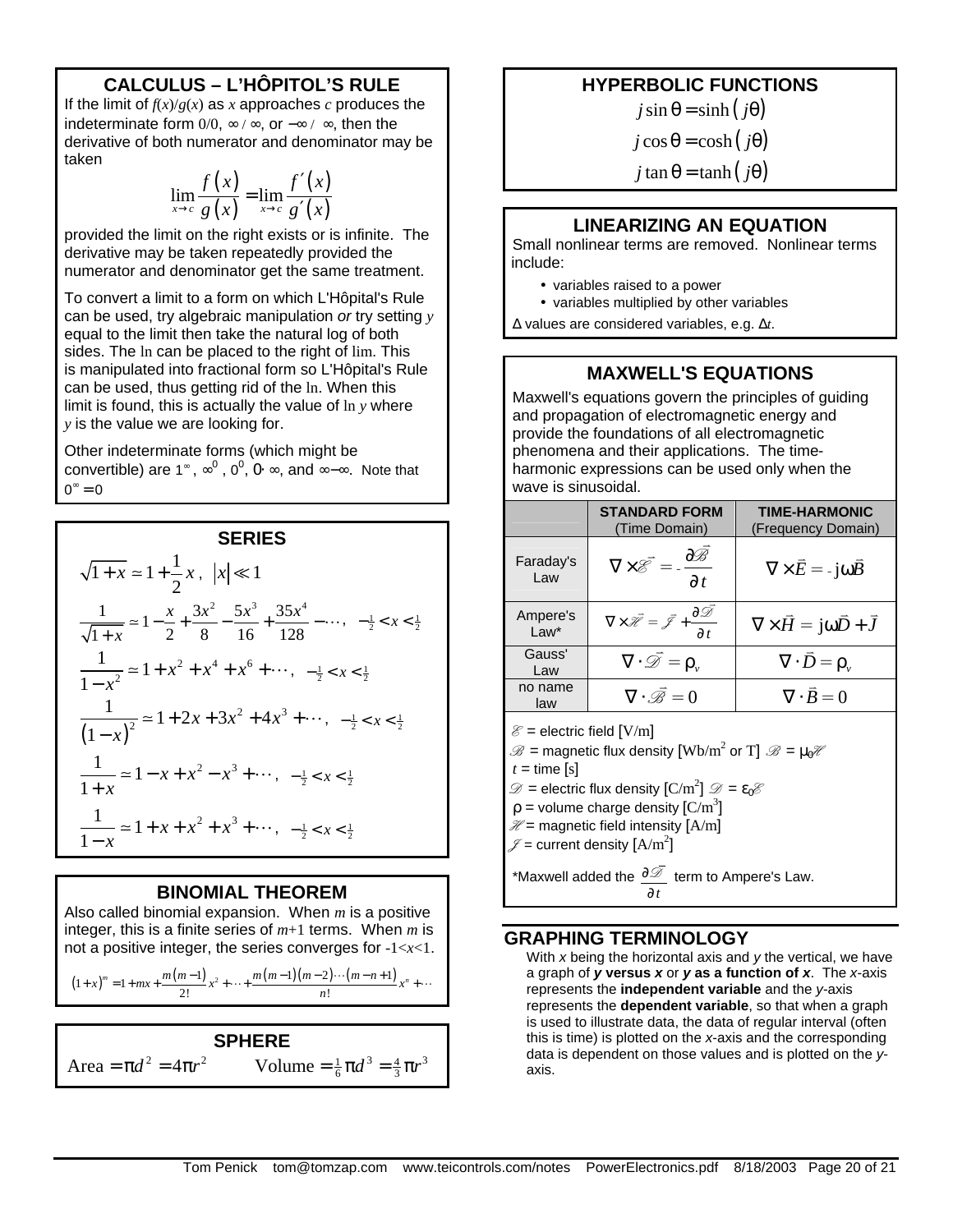### **CALCULUS – L'HÔPITOL'S RULE**

If the limit of  $f(x)/g(x)$  as *x* approaches *c* produces the indeterminate form  $0/0$ ,  $\infty$  /  $\infty$ , or  $-\infty$  /  $\infty$ , then the derivative of both numerator and denominator may be taken

$$
\lim_{x \to c} \frac{f(x)}{g(x)} = \lim_{x \to c} \frac{f'(x)}{g'(x)}
$$

provided the limit on the right exists or is infinite. The derivative may be taken repeatedly provided the numerator and denominator get the same treatment.

To convert a limit to a form on which L'Hôpital's Rule can be used, try algebraic manipulation *or* try setting *y* equal to the limit then take the natural log of both sides. The ln can be placed to the right of lim. This is manipulated into fractional form so L'Hôpital's Rule can be used, thus getting rid of the ln. When this limit is found, this is actually the value of ln *y* where *y* is the value we are looking for.

Other indeterminate forms (which might be convertible) are 1<sup>∞</sup>,  $\infty^0$ , 0<sup>0</sup>, 0⋅ ∞, and ∞-∞. Note that  $0^{\infty} = 0$ 

#### **SERIES**

$$
\sqrt{1+x} \approx 1 + \frac{1}{2}x, \ |x| \ll 1
$$
  

$$
\frac{1}{\sqrt{1+x}} \approx 1 - \frac{x}{2} + \frac{3x^2}{8} - \frac{5x^3}{16} + \frac{35x^4}{128} - \dots, -\frac{1}{2} < x < \frac{1}{2}
$$
  

$$
\frac{1}{1-x^2} \approx 1 + x^2 + x^4 + x^6 + \dots, -\frac{1}{2} < x < \frac{1}{2}
$$
  

$$
\frac{1}{(1-x)^2} \approx 1 + 2x + 3x^2 + 4x^3 + \dots, -\frac{1}{2} < x < \frac{1}{2}
$$
  

$$
\frac{1}{1+x} \approx 1 - x + x^2 - x^3 + \dots, -\frac{1}{2} < x < \frac{1}{2}
$$
  

$$
\frac{1}{1-x} \approx 1 + x + x^2 + x^3 + \dots, -\frac{1}{2} < x < \frac{1}{2}
$$

#### **BINOMIAL THEOREM**

Also called binomial expansion. When *m* is a positive integer, this is a finite series of *m*+1 terms. When *m* is not a positive integer, the series converges for -1<*x*<1.

 $(1+x)^m = 1 + mx + \frac{m(m-1)}{2!}x^2 + \dots + \frac{m(m-1)(m-2)\cdots(m-n+1)}{n!}$  $f(x) = 1 + mx + \frac{m(m-1)}{2!}x^2 + \dots + \frac{m(m-1)(m-2)\cdots(m-n+1)}{n!}x^n$  $(x+x)^m = 1 + mx + \frac{m(m-1)}{2!}x^2 + \dots + \frac{m(m-1)(m-2)\cdots(m-n+1)}{2!}x^n + \dots$ 

**SPHERE**  $Area = \pi d^2 = 4\pi r^2$  Volume  $= \frac{1}{6}\pi d^3 = \frac{4}{3}\pi r^3$ 

### **HYPERBOLIC FUNCTIONS**

 $j \sin \theta = \sinh (j\theta)$ 

 $j \cos \theta = \cosh(j\theta)$ 

 $j \tan \theta = \tanh(j\theta)$ 

#### **LINEARIZING AN EQUATION**

Small nonlinear terms are removed. Nonlinear terms include:

- variables raised to a power
- variables multiplied by other variables

Δ values are considered variables, e.g. Δ*t*.

#### **MAXWELL'S EQUATIONS**

Maxwell's equations govern the principles of guiding and propagation of electromagnetic energy and provide the foundations of all electromagnetic phenomena and their applications. The timeharmonic expressions can be used only when the wave is sinusoidal.

|                    | <b>STANDARD FORM</b><br>(Time Domain)                                                                 | <b>TIME-HARMONIC</b><br>(Frequency Domain)          |
|--------------------|-------------------------------------------------------------------------------------------------------|-----------------------------------------------------|
| Faraday's<br>Law   | $\nabla \times \overrightarrow{\mathcal{E}} = -\frac{\partial \mathcal{B}}{\partial t}$               | $\nabla \times \vec{E} = -i\omega \vec{B}$          |
| Ampere's<br>$Law*$ | $\nabla \times \vec{\mathcal{H}} = \vec{\mathcal{I}} + \frac{\partial \vec{\mathcal{I}}}{\partial t}$ | $\nabla \times \vec{H} = j\omega \vec{D} + \vec{J}$ |
| Gauss'<br>Law      | $\nabla \cdot \overrightarrow{\mathscr{D}} = \rho_{\mathfrak{v}}$                                     | $\nabla \cdot \vec{D} = \rho_{\alpha}$              |
| no name<br>law     | $\nabla \cdot \vec{\mathcal{B}} = 0$                                                                  | $\nabla \cdot \vec{B} = 0$                          |
|                    |                                                                                                       |                                                     |

 $\mathscr{E}$  = electric field [V/m]

 $\mathscr{B}=$  magnetic flux density  $\text{[Wb/m}^2 \text{ or } T \text{]}$   $\mathscr{B}=\mu_0\mathscr{H}$ 

 $t =$  time [s]

 $\mathcal{D} =$  electric flux density  $\left[\mathrm{C/m}^2\right] \mathcal{D} = \epsilon_0 \mathcal{E}$ 

 $\rho$  = volume charge density  $\rm [C/m^3]$ 

 $\mathcal{H}$  = magnetic field intensity  $[A/m]$ 

 $\mathscr{I}$  = current density  $[A/m^2]$ 

\*Maxwell added the *t* ∂ ∂  $\overline{\mathscr{L}}$  term to Ampere's Law.

#### **GRAPHING TERMINOLOGY**

With *x* being the horizontal axis and *y* the vertical, we have a graph of *y* **versus** *x* or *y* **as a function of** *x*. The *x*-axis represents the **independent variable** and the *y*-axis represents the **dependent variable**, so that when a graph is used to illustrate data, the data of regular interval (often this is time) is plotted on the *x*-axis and the corresponding data is dependent on those values and is plotted on the *y*axis.